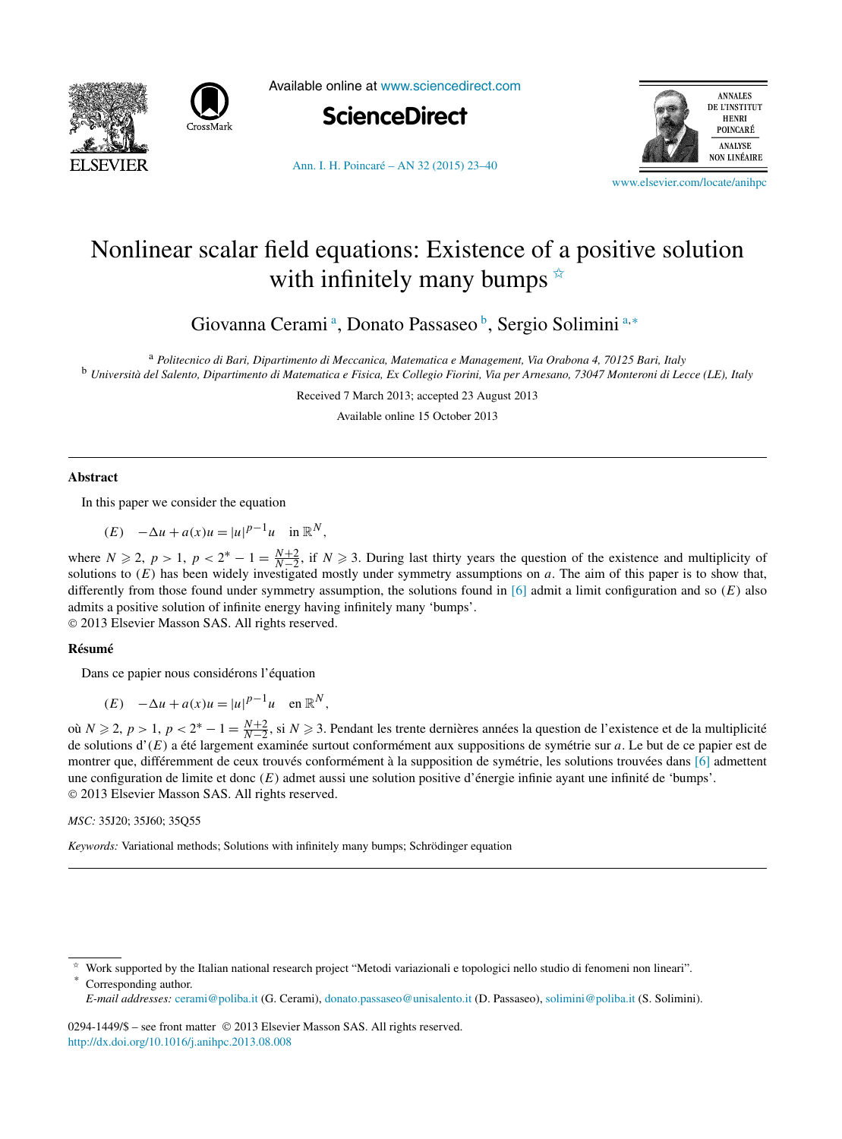



Available online at [www.sciencedirect.com](http://www.sciencedirect.com)





[Ann. I. H. Poincaré – AN 32 \(2015\) 23–40](http://dx.doi.org/10.1016/j.anihpc.2013.08.008)

[www.elsevier.com/locate/anihpc](http://www.elsevier.com/locate/anihpc)

# Nonlinear scalar field equations: Existence of a positive solution with infinitely many bumps  $\overline{\mathbf{x}}$

Giovanna Cerami<sup>a</sup>, Donato Passaseo<sup>b</sup>, Sergio Solimini<sup>a,∗</sup>

<sup>a</sup> *Politecnico di Bari, Dipartimento di Meccanica, Matematica e Management, Via Orabona 4, 70125 Bari, Italy* <sup>b</sup> *Università del Salento, Dipartimento di Matematica e Fisica, Ex Collegio Fiorini, Via per Arnesano, 73047 Monteroni di Lecce (LE), Italy*

Received 7 March 2013; accepted 23 August 2013

Available online 15 October 2013

#### **Abstract**

In this paper we consider the equation

 $(E)$   $-\Delta u + a(x)u = |u|^{p-1}u$  in  $\mathbb{R}^N$ ,

where  $N \ge 2$ ,  $p > 1$ ,  $p < 2^* - 1 = \frac{N+2}{N-2}$ , if  $N \ge 3$ . During last thirty years the question of the existence and multiplicity of solutions to  $(E)$  has been widely investigated mostly under symmetry assumptions on  $a$ . The aim of this paper is to show that, differently from those found under symmetry assumption, the solutions found in [\[6\]](#page-17-0) admit a limit configuration and so *(E)* also admits a positive solution of infinite energy having infinitely many 'bumps'.

© 2013 Elsevier Masson SAS. All rights reserved.

## **Résumé**

Dans ce papier nous considérons l'équation

 $(E)$   $-\Delta u + a(x)u = |u|^{p-1}u$  en  $\mathbb{R}^N$ ,

où *N* ≥ 2, *p* > 1, *p* < 2<sup>\*</sup> − 1 =  $\frac{N+2}{N-2}$ , si *N* ≥ 3. Pendant les trente dernières années la question de l'existence et de la multiplicité de solutions d'*(E)* a été largement examinée surtout conformément aux suppositions de symétrie sur *a*. Le but de ce papier est de montrer que, différemment de ceux trouvés conformément à la supposition de symétrie, les solutions trouvées dans [\[6\]](#page-17-0) admettent une configuration de limite et donc *(E)* admet aussi une solution positive d'énergie infinie ayant une infinité de 'bumps'. © 2013 Elsevier Masson SAS. All rights reserved.

*MSC:* 35J20; 35J60; 35Q55

*Keywords:* Variational methods; Solutions with infinitely many bumps; Schrödinger equation

0294-1449/\$ – see front matter © 2013 Elsevier Masson SAS. All rights reserved. <http://dx.doi.org/10.1016/j.anihpc.2013.08.008>

<sup>✩</sup> Work supported by the Italian national research project "Metodi variazionali e topologici nello studio di fenomeni non lineari". Corresponding author.

*E-mail addresses:* [cerami@poliba.it](mailto:cerami@poliba.it) (G. Cerami), [donato.passaseo@unisalento.it](mailto:donato.passaseo@unisalento.it) (D. Passaseo), [solimini@poliba.it](mailto:solimini@poliba.it) (S. Solimini).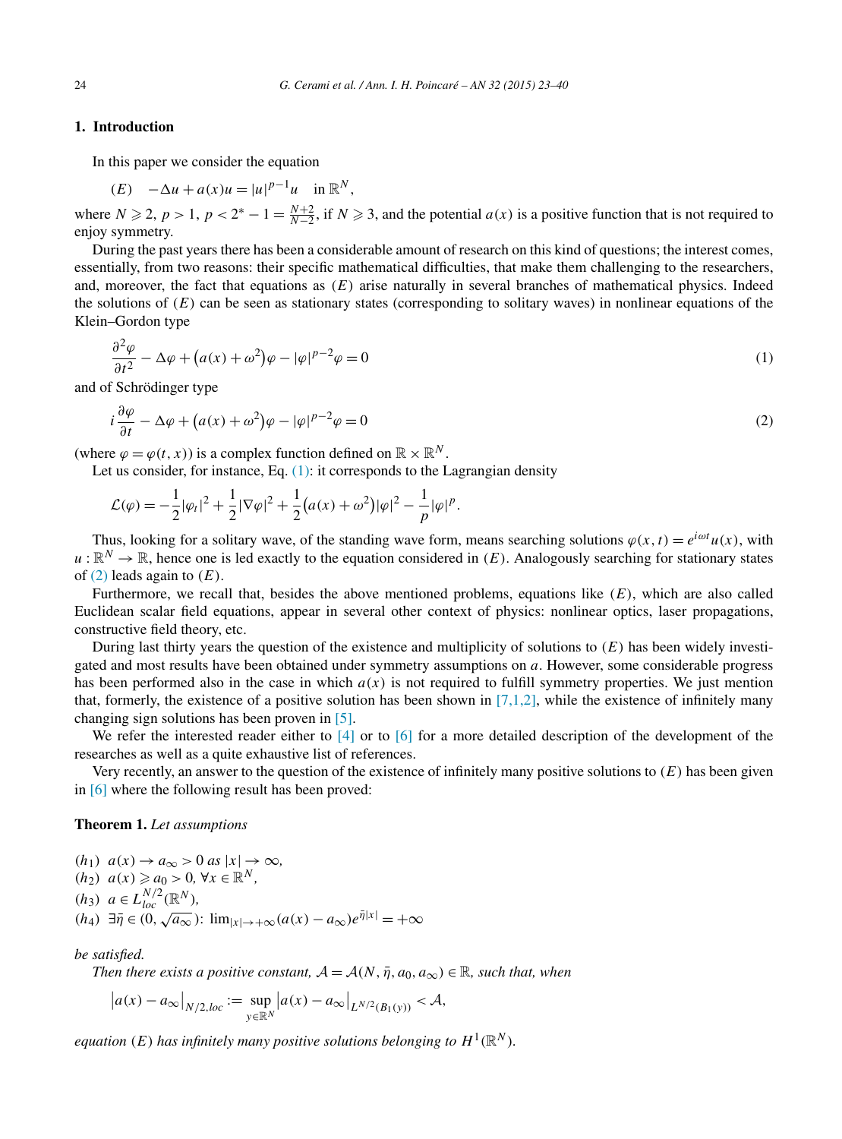## <span id="page-1-0"></span>**1. Introduction**

In this paper we consider the equation

$$
(E) \quad -\Delta u + a(x)u = |u|^{p-1}u \quad \text{in } \mathbb{R}^N,
$$
  
where  $N \ge 2$ ,  $p > 1$ ,  $p < 2^* - 1 = \frac{N+2}{N-2}$ , if  $N \ge 3$ , and the potential  $a(x)$  is a positive function that is not required to  
eniov symmetry.

During the past years there has been a considerable amount of research on this kind of questions; the interest comes, essentially, from two reasons: their specific mathematical difficulties, that make them challenging to the researchers, and, moreover, the fact that equations as *(E)* arise naturally in several branches of mathematical physics. Indeed the solutions of  $(E)$  can be seen as stationary states (corresponding to solitary waves) in nonlinear equations of the Klein–Gordon type

$$
\frac{\partial^2 \varphi}{\partial t^2} - \Delta \varphi + (a(x) + \omega^2)\varphi - |\varphi|^{p-2}\varphi = 0
$$
\n(1)

and of Schrödinger type

$$
i\frac{\partial \varphi}{\partial t} - \Delta \varphi + (a(x) + \omega^2)\varphi - |\varphi|^{p-2}\varphi = 0
$$
\n(2)

(where  $\varphi = \varphi(t, x)$ ) is a complex function defined on  $\mathbb{R} \times \mathbb{R}^N$ .

Let us consider, for instance, Eq.  $(1)$ : it corresponds to the Lagrangian density

$$
\mathcal{L}(\varphi) = -\frac{1}{2}|\varphi_t|^2 + \frac{1}{2}|\nabla\varphi|^2 + \frac{1}{2}(a(x) + \omega^2)|\varphi|^2 - \frac{1}{p}|\varphi|^p.
$$

Thus, looking for a solitary wave, of the standing wave form, means searching solutions  $\varphi(x, t) = e^{i\omega t}u(x)$ , with  $u : \mathbb{R}^N \to \mathbb{R}$ , hence one is led exactly to the equation considered in *(E)*. Analogously searching for stationary states of (2) leads again to *(E)*.

Furthermore, we recall that, besides the above mentioned problems, equations like *(E)*, which are also called Euclidean scalar field equations, appear in several other context of physics: nonlinear optics, laser propagations, constructive field theory, etc.

During last thirty years the question of the existence and multiplicity of solutions to *(E)* has been widely investigated and most results have been obtained under symmetry assumptions on *a*. However, some considerable progress has been performed also in the case in which  $a(x)$  is not required to fulfill symmetry properties. We just mention that, formerly, the existence of a positive solution has been shown in  $[7,1,2]$ , while the existence of infinitely many changing sign solutions has been proven in [\[5\].](#page-17-0)

We refer the interested reader either to [\[4\]](#page-17-0) or to [\[6\]](#page-17-0) for a more detailed description of the development of the researches as well as a quite exhaustive list of references.

Very recently, an answer to the question of the existence of infinitely many positive solutions to *(E)* has been given in [\[6\]](#page-17-0) where the following result has been proved:

### **Theorem 1.** *Let assumptions*

$$
(h_1) \ a(x) \rightarrow a_\infty > 0 \ as \ |x| \rightarrow \infty,
$$
  
\n
$$
(h_2) \ a(x) \ge a_0 > 0, \ \forall x \in \mathbb{R}^N,
$$
  
\n
$$
(h_3) \ a \in L_{loc}^{N/2}(\mathbb{R}^N),
$$
  
\n
$$
(h_4) \ \exists \bar{\eta} \in (0, \sqrt{a_\infty}) : \lim_{|x| \rightarrow +\infty} (a(x) - a_\infty) e^{\bar{\eta}|x|} = +\infty
$$

*be satisfied.*

*Then there exists a positive constant,*  $\mathcal{A} = \mathcal{A}(N, \overline{\eta}, a_0, a_\infty) \in \mathbb{R}$ *, such that, when* 

$$
|a(x) - a_{\infty}|_{N/2,loc} := \sup_{y \in \mathbb{R}^N} |a(x) - a_{\infty}|_{L^{N/2}(B_1(y))} < A,
$$

*equation* (*E*) has infinitely many positive solutions belonging to  $H^1(\mathbb{R}^N)$ .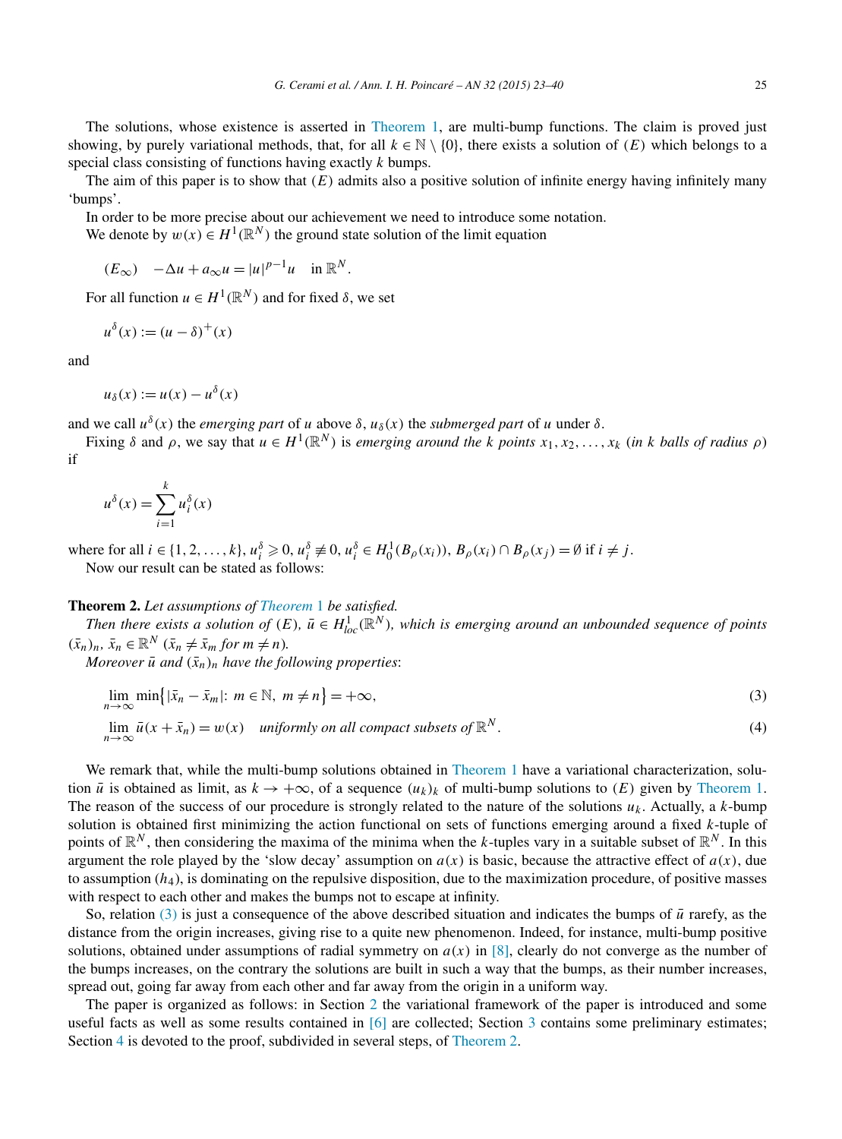<span id="page-2-0"></span>The solutions, whose existence is asserted in [Theorem 1,](#page-1-0) are multi-bump functions. The claim is proved just showing, by purely variational methods, that, for all  $k \in \mathbb{N} \setminus \{0\}$ , there exists a solution of  $(E)$  which belongs to a special class consisting of functions having exactly *k* bumps.

The aim of this paper is to show that *(E)* admits also a positive solution of infinite energy having infinitely many 'bumps'.

In order to be more precise about our achievement we need to introduce some notation.

We denote by  $w(x) \in H^1(\mathbb{R}^N)$  the ground state solution of the limit equation

$$
(E_{\infty}) \quad -\Delta u + a_{\infty} u = |u|^{p-1} u \quad \text{in } \mathbb{R}^N.
$$

For all function  $u \in H^1(\mathbb{R}^N)$  and for fixed  $\delta$ , we set

$$
u^{\delta}(x) := (u - \delta)^{+}(x)
$$

and

$$
u_{\delta}(x) := u(x) - u^{\delta}(x)
$$

and we call  $u^{\delta}(x)$  the *emerging part* of *u* above  $\delta$ ,  $u_{\delta}(x)$  the *submerged part* of *u* under  $\delta$ .

Fixing  $\delta$  and  $\rho$ , we say that  $u \in H^1(\mathbb{R}^N)$  is *emerging around the k points*  $x_1, x_2, ..., x_k$  (in k balls of radius  $\rho$ ) if

$$
u^{\delta}(x) = \sum_{i=1}^{k} u_i^{\delta}(x)
$$

where for all  $i \in \{1, 2, ..., k\}, u_i^{\delta} \geq 0, u_i^{\delta} \neq 0, u_i^{\delta} \in H_0^1(B_\rho(x_i)), B_\rho(x_i) \cap B_\rho(x_j) = \emptyset$  if  $i \neq j$ . Now our result can be stated as follows:

## **Theorem 2.** *Let assumptions of [Theorem](#page-1-0)* 1 *be satisfied.*

*Then there exists a solution of*  $(E)$ ,  $\bar{u} \in H_{loc}^1(\mathbb{R}^N)$ , which is emerging around an unbounded sequence of points  $(\bar{x}_n)_n, \, \bar{x}_n \in \mathbb{R}^N \; (\bar{x}_n \neq \bar{x}_m \text{ for } m \neq n).$ 

*Moreover*  $\bar{u}$  *and*  $(\bar{x}_n)_n$  *have the following properties:* 

$$
\lim_{n \to \infty} \min\{|\bar{x}_n - \bar{x}_m| \colon m \in \mathbb{N}, \ m \neq n\} = +\infty,\tag{3}
$$

$$
\lim_{n \to \infty} \bar{u}(x + \bar{x}_n) = w(x) \quad \text{uniformly on all compact subsets of } \mathbb{R}^N. \tag{4}
$$

We remark that, while the multi-bump solutions obtained in [Theorem 1](#page-1-0) have a variational characterization, solution  $\bar{u}$  is obtained as limit, as  $k \to +\infty$ , of a sequence  $(u_k)_k$  of multi-bump solutions to  $(E)$  given by [Theorem 1.](#page-1-0) The reason of the success of our procedure is strongly related to the nature of the solutions  $u_k$ . Actually, a  $k$ -bump solution is obtained first minimizing the action functional on sets of functions emerging around a fixed *k*-tuple of points of  $\mathbb{R}^N$ , then considering the maxima of the minima when the *k*-tuples vary in a suitable subset of  $\mathbb{R}^N$ . In this argument the role played by the 'slow decay' assumption on  $a(x)$  is basic, because the attractive effect of  $a(x)$ , due to assumption  $(h<sub>4</sub>)$ , is dominating on the repulsive disposition, due to the maximization procedure, of positive masses with respect to each other and makes the bumps not to escape at infinity.

So, relation (3) is just a consequence of the above described situation and indicates the bumps of  $\bar{u}$  rarefy, as the distance from the origin increases, giving rise to a quite new phenomenon. Indeed, for instance, multi-bump positive solutions, obtained under assumptions of radial symmetry on *a(x)* in [\[8\],](#page-17-0) clearly do not converge as the number of the bumps increases, on the contrary the solutions are built in such a way that the bumps, as their number increases, spread out, going far away from each other and far away from the origin in a uniform way.

The paper is organized as follows: in Section [2](#page-3-0) the variational framework of the paper is introduced and some useful facts as well as some results contained in [\[6\]](#page-17-0) are collected; Section [3](#page-6-0) contains some preliminary estimates; Section [4](#page-11-0) is devoted to the proof, subdivided in several steps, of Theorem 2.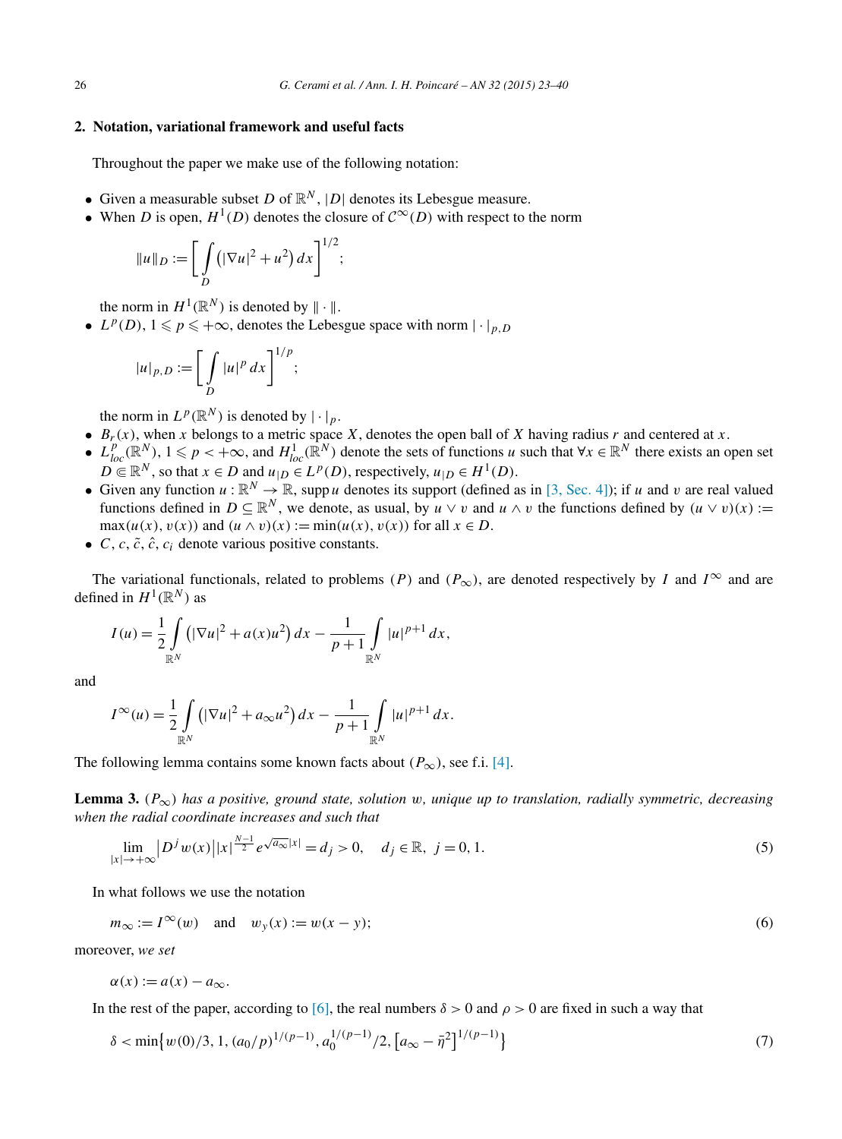### <span id="page-3-0"></span>**2. Notation, variational framework and useful facts**

Throughout the paper we make use of the following notation:

- Given a measurable subset *D* of  $\mathbb{R}^N$ ,  $|D|$  denotes its Lebesgue measure.
- When *D* is open,  $H^1(D)$  denotes the closure of  $\mathcal{C}^{\infty}(D)$  with respect to the norm

$$
||u||_{D} := \bigg[ \int_{D} \big( |\nabla u|^2 + u^2 \big) \, dx \bigg]^{1/2};
$$

the norm in  $H^1(\mathbb{R}^N)$  is denoted by  $\|\cdot\|$ .

•  $L^p(D)$ ,  $1 \leq p \leq +\infty$ , denotes the Lebesgue space with norm  $|\cdot|_{p,D}$ 

$$
|u|_{p,D} := \left[\int\limits_D |u|^p dx\right]^{1/p};
$$

the norm in  $L^p(\mathbb{R}^N)$  is denoted by  $|\cdot|_p$ .

- $B_r(x)$ , when *x* belongs to a metric space *X*, denotes the open ball of *X* having radius *r* and centered at *x*.
- $L_{loc}^p(\mathbb{R}^N)$ ,  $1 \leq p < +\infty$ , and  $H_{loc}^1(\mathbb{R}^N)$  denote the sets of functions *u* such that  $\forall x \in \mathbb{R}^N$  there exists an open set  $D \in \mathbb{R}^N$ , so that  $x \in D$  and  $u_{|D} \in L^p(D)$ , respectively,  $u_{|D} \in H^1(D)$ .
- Given any function  $u : \mathbb{R}^N \to \mathbb{R}$ , supp *u* denotes its support (defined as in [\[3, Sec. 4\]\)](#page-17-0); if *u* and *v* are real valued functions defined in  $D \subseteq \mathbb{R}^N$ , we denote, as usual, by  $u \vee v$  and  $u \wedge v$  the functions defined by  $(u \vee v)(x) :=$  $max(u(x), v(x))$  and  $(u \wedge v)(x) := min(u(x), v(x))$  for all  $x \in D$ .
- $C, c, \tilde{c}, \hat{c}, c_i$  denote various positive constants.

The variational functionals, related to problems *(P)* and  $(P_{\infty})$ , are denoted respectively by *I* and  $I^{\infty}$  and are defined in  $H^1(\mathbb{R}^N)$  as

$$
I(u) = \frac{1}{2} \int_{\mathbb{R}^N} \left( |\nabla u|^2 + a(x) u^2 \right) dx - \frac{1}{p+1} \int_{\mathbb{R}^N} |u|^{p+1} dx,
$$

and

$$
I^{\infty}(u) = \frac{1}{2} \int_{\mathbb{R}^N} (|\nabla u|^2 + a_{\infty} u^2) dx - \frac{1}{p+1} \int_{\mathbb{R}^N} |u|^{p+1} dx.
$$

The following lemma contains some known facts about  $(P_{\infty})$ , see f.i. [\[4\].](#page-17-0)

**Lemma 3.**  $(P_{\infty})$  has a positive, ground state, solution w, unique up to translation, radially symmetric, decreasing *when the radial coordinate increases and such that*

$$
\lim_{|x| \to +\infty} |D^j w(x)| |x|^{\frac{N-1}{2}} e^{\sqrt{a_{\infty}} |x|} = d_j > 0, \quad d_j \in \mathbb{R}, \ j = 0, 1.
$$
 (5)

In what follows we use the notation

$$
m_{\infty} := I^{\infty}(w) \quad \text{and} \quad w_{y}(x) := w(x - y); \tag{6}
$$

moreover, *we set*

$$
\alpha(x) := a(x) - a_{\infty}.
$$

In the rest of the paper, according to [\[6\],](#page-17-0) the real numbers  $\delta > 0$  and  $\rho > 0$  are fixed in such a way that

$$
\delta < \min\left\{w(0)/3, 1, (a_0/p)^{1/(p-1)}, a_0^{1/(p-1)}/2, \left[a_\infty - \bar{\eta}^2\right]^{1/(p-1)}\right\} \tag{7}
$$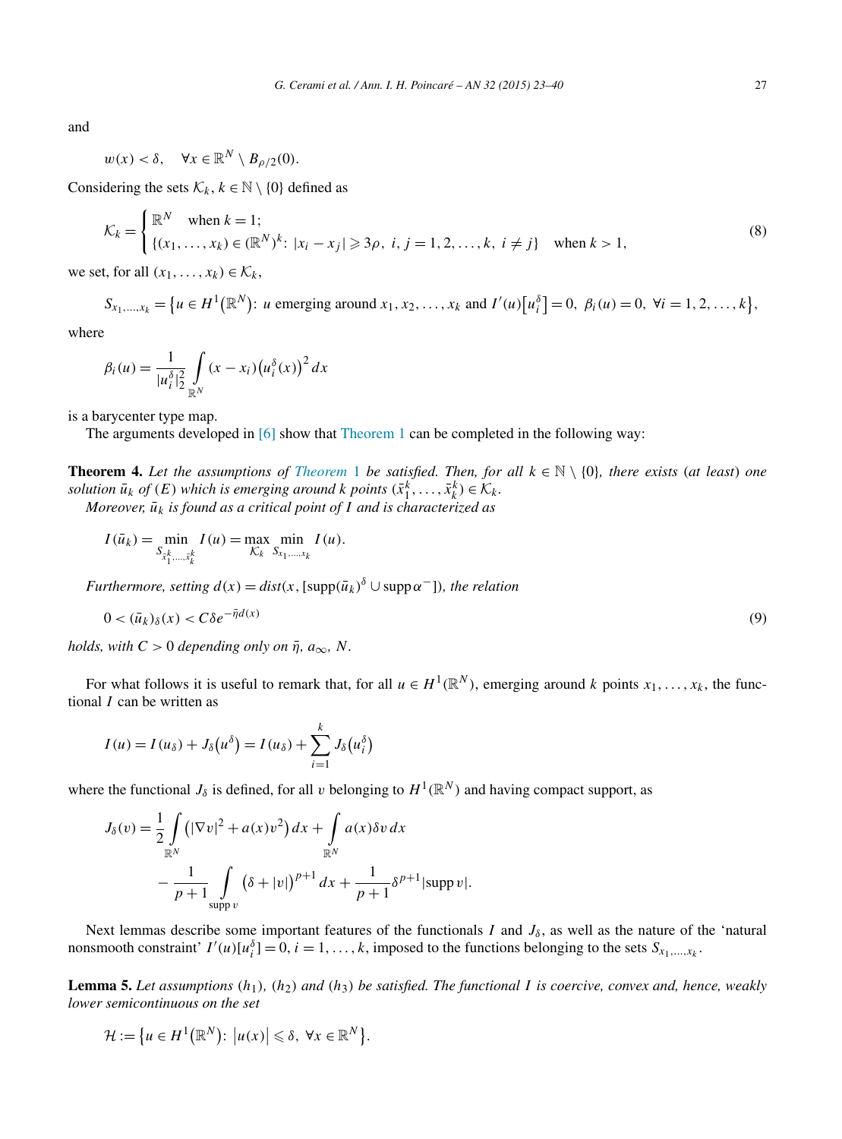<span id="page-4-0"></span>and

$$
w(x) < \delta, \quad \forall x \in \mathbb{R}^N \setminus B_{\rho/2}(0).
$$

Considering the sets  $\mathcal{K}_k$ ,  $k \in \mathbb{N} \setminus \{0\}$  defined as

$$
\mathcal{K}_k = \begin{cases} \mathbb{R}^N & \text{when } k = 1; \\ \{(x_1, \dots, x_k) \in (\mathbb{R}^N)^k : |x_i - x_j| \geq 3\rho, \ i, j = 1, 2, \dots, k, \ i \neq j \} \quad \text{when } k > 1, \end{cases}
$$
(8)

we set, for all  $(x_1, \ldots, x_k) \in \mathcal{K}_k$ ,

 $S_{x_1,...,x_k} = \{u \in H^1(\mathbb{R}^N): u \text{ emerging around } x_1, x_2,..., x_k \text{ and } I'(u)[u_i^{\delta}] = 0, \ \beta_i(u) = 0, \ \forall i = 1, 2,..., k\},\$ 

where

$$
\beta_i(u) = \frac{1}{|u_i^{\delta}|_2^2} \int\limits_{\mathbb{R}^N} (x - x_i) (u_i^{\delta}(x))^2 dx
$$

is a barycenter type map.

The arguments developed in [\[6\]](#page-17-0) show that [Theorem 1](#page-1-0) can be completed in the following way:

**[Theorem](#page-1-0) 4.** Let the assumptions of Theorem 1 be satisfied. Then, for all  $k \in \mathbb{N} \setminus \{0\}$ , there exists (at least) one *solution*  $\bar{u}_k$  *of*  $(E)$  *which is emerging around k points*  $(\bar{x}_1^k, \ldots, \bar{x}_k^k) \in \mathcal{K}_k$ .

*Moreover,*  $\bar{u}_k$  *is found as a critical point of I and is characterized as* 

$$
I(\bar{u}_k) = \min_{S_{x_1^k,...,x_k^k}} I(u) = \max_{\mathcal{K}_k} \min_{S_{x_1,...,x_k}} I(u).
$$

*Furthermore, setting*  $d(x) = dist(x, \lceil \operatorname{supp}(\bar{u}_k)^{\delta} \cup \operatorname{supp} \alpha^{-} \rceil)$ *, the relation* 

$$
0 < (\bar{u}_k)_{\delta}(x) < C\delta e^{-\bar{\eta}d(x)}\tag{9}
$$

*holds, with*  $C > 0$  *depending only on*  $\bar{\eta}$ *,*  $a_{\infty}$ *, N*.

For what follows it is useful to remark that, for all  $u \in H^1(\mathbb{R}^N)$ , emerging around *k* points  $x_1, \ldots, x_k$ , the functional *I* can be written as

$$
I(u) = I(u_{\delta}) + J_{\delta}(u^{\delta}) = I(u_{\delta}) + \sum_{i=1}^{k} J_{\delta}(u_{i}^{\delta})
$$

where the functional  $J_{\delta}$  is defined, for all *v* belonging to  $H^1(\mathbb{R}^N)$  and having compact support, as

$$
J_{\delta}(v) = \frac{1}{2} \int_{\mathbb{R}^{N}} \left( |\nabla v|^{2} + a(x) v^{2} \right) dx + \int_{\mathbb{R}^{N}} a(x) \delta v \, dx
$$
  
- 
$$
\frac{1}{p+1} \int_{\text{supp } v} \left( \delta + |v| \right)^{p+1} dx + \frac{1}{p+1} \delta^{p+1} |\text{supp } v|.
$$

Next lemmas describe some important features of the functionals *I* and  $J_{\delta}$ , as well as the nature of the 'natural nonsmooth constraint'  $I'(u)[u_i^{\delta}] = 0$ ,  $i = 1, ..., k$ , imposed to the functions belonging to the sets  $S_{x_1,...,x_k}$ .

**Lemma 5.** *Let assumptions (h*1*), (h*2*) and (h*3*) be satisfied. The functional I is coercive, convex and, hence, weakly lower semicontinuous on the set*

$$
\mathcal{H} := \{ u \in H^1(\mathbb{R}^N) : \, \big| u(x) \big| \leq \delta, \, \forall x \in \mathbb{R}^N \}.
$$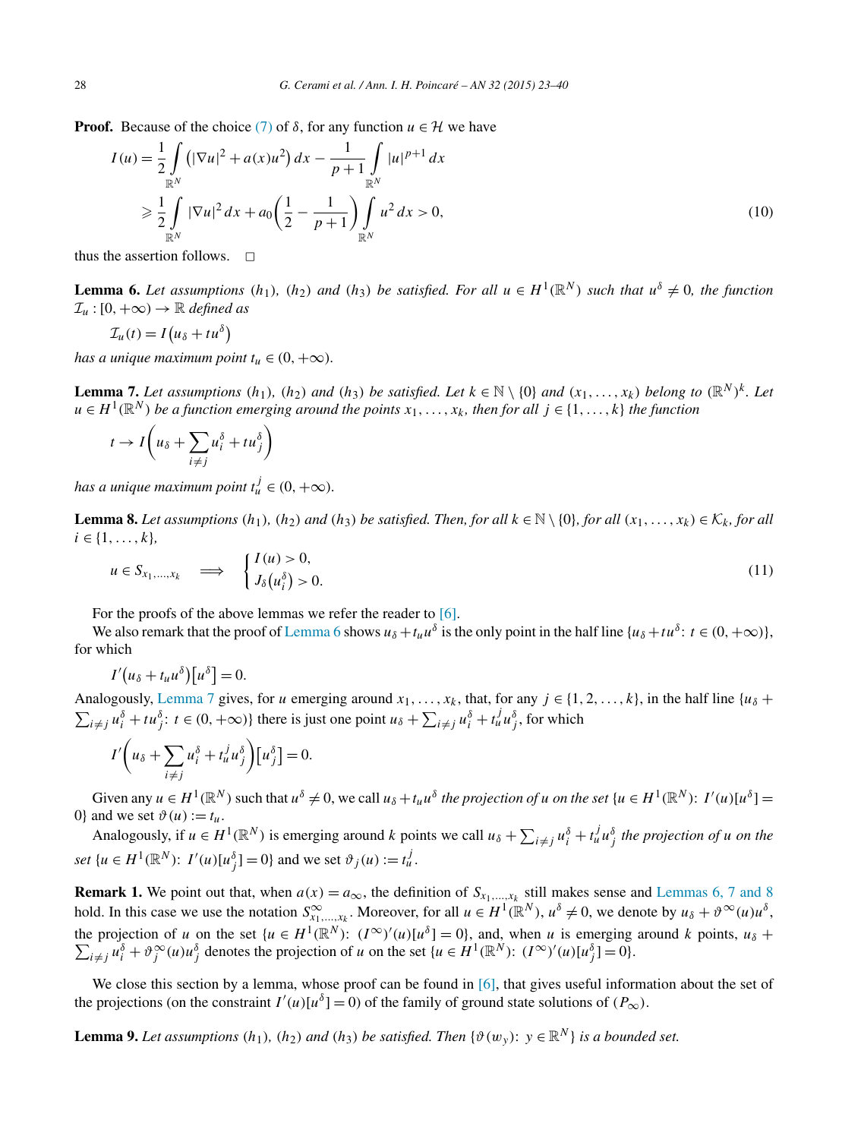<span id="page-5-0"></span>**Proof.** Because of the choice [\(7\)](#page-3-0) of  $\delta$ , for any function  $u \in \mathcal{H}$  we have

$$
I(u) = \frac{1}{2} \int_{\mathbb{R}^N} \left( |\nabla u|^2 + a(x) u^2 \right) dx - \frac{1}{p+1} \int_{\mathbb{R}^N} |u|^{p+1} dx
$$
  
\n
$$
\geq \frac{1}{2} \int_{\mathbb{R}^N} |\nabla u|^2 dx + a_0 \left( \frac{1}{2} - \frac{1}{p+1} \right) \int_{\mathbb{R}^N} u^2 dx > 0,
$$
\n(10)

thus the assertion follows.  $\Box$ 

**Lemma 6.** Let assumptions  $(h_1)$ ,  $(h_2)$  and  $(h_3)$  be satisfied. For all  $u \in H^1(\mathbb{R}^N)$  such that  $u^{\delta} \neq 0$ , the function  $\mathcal{I}_u : [0, +\infty) \to \mathbb{R}$  *defined as* 

$$
\mathcal{I}_u(t) = I\big(u_\delta + tu^\delta\big)
$$

*has a unique maximum point*  $t_u \in (0, +\infty)$ *.* 

**Lemma 7.** Let assumptions  $(h_1)$ ,  $(h_2)$  and  $(h_3)$  be satisfied. Let  $k \in \mathbb{N} \setminus \{0\}$  and  $(x_1, \ldots, x_k)$  belong to  $(\mathbb{R}^N)^k$ . Let  $u \in H^1(\mathbb{R}^N)$  *be a function emerging around the points*  $x_1, \ldots, x_k$ *, then for all*  $j \in \{1, \ldots, k\}$  *the function* 

$$
t \to I\left(u_{\delta} + \sum_{i \neq j} u_i^{\delta} + t u_j^{\delta}\right)
$$

*has a unique maximum point*  $t_u^j \in (0, +\infty)$ *.* 

**Lemma 8.** Let assumptions  $(h_1)$ ,  $(h_2)$  and  $(h_3)$  be satisfied. Then, for all  $k \in \mathbb{N} \setminus \{0\}$ , for all  $(x_1, \ldots, x_k) \in \mathcal{K}_k$ , for all  $i \in \{1, \ldots, k\},\$ 

$$
u \in S_{x_1,\dots,x_k} \quad \Longrightarrow \quad \begin{cases} I(u) > 0, \\ J_\delta(u_i^\delta) > 0. \end{cases} \tag{11}
$$

For the proofs of the above lemmas we refer the reader to [\[6\].](#page-17-0)

We also remark that the proof of Lemma 6 shows  $u_{\delta} + t_u u^{\delta}$  is the only point in the half line  $\{u_{\delta} + t u^{\delta} : t \in (0, +\infty)\},$ for which

$$
I'(u_{\delta}+t_{u}u^{\delta})[u^{\delta}]=0.
$$

Analogously, Lemma 7 gives, for *u* emerging around  $x_1, \ldots, x_k$ , that, for any  $j \in \{1, 2, \ldots, k\}$ , in the half line  $\{u_\delta +$  $\sum_{i \neq j} u_i^{\delta} + t u_j^{\delta}$ :  $t \in (0, +\infty)$ } there is just one point  $u_{\delta} + \sum_{i \neq j} u_i^{\delta} + t_u^j u_j^{\delta}$ , for which

$$
I'\left(u_{\delta} + \sum_{i \neq j} u_i^{\delta} + t_u^j u_j^{\delta}\right)[u_j^{\delta}] = 0.
$$

Given any  $u \in H^1(\mathbb{R}^N)$  such that  $u^{\delta} \neq 0$ , we call  $u_{\delta} + t_u u^{\delta}$  the projection of u on the set  $\{u \in H^1(\mathbb{R}^N) : I'(u)[u^{\delta}] =$ 0} and we set  $\vartheta(u) := t_u$ .

Analogously, if  $u \in H^1(\mathbb{R}^N)$  is emerging around k points we call  $u_\delta + \sum_{i \neq j} u_i^\delta + t_u^j u_j^\delta$  the projection of u on the *set*  $\{u \in H^1(\mathbb{R}^N): I'(u)[u_j^{\delta}] = 0\}$  and we set  $\vartheta_j(u) := t_u^j$ .

**Remark 1.** We point out that, when  $a(x) = a_{\infty}$ , the definition of  $S_{x_1,...,x_k}$  still makes sense and Lemmas 6, 7 and 8 hold. In this case we use the notation  $S^{\infty}_{x_1,\dots,x_k}$ . Moreover, for all  $u \in H^1(\mathbb{R}^N)$ ,  $u^{\delta} \neq 0$ , we denote by  $u_{\delta} + \vartheta^{\infty}(u)u^{\delta}$ , the projection of *u* on the set  $\{u \in H^1(\mathbb{R}^N): (I^{\infty})'(u)[u^{\delta}] = 0\}$ , and, when *u* is emerging around *k* points,  $u_{\delta}$  +  $\sum_{i \neq j} u_i^{\delta} + \vartheta_j^{\infty}(u) u_j^{\delta}$  denotes the projection of u on the set  $\{u \in H^1(\mathbb{R}^N): (I^{\infty})'(u)[u_j^{\delta}] = 0\}.$ 

We close this section by a lemma, whose proof can be found in [\[6\],](#page-17-0) that gives useful information about the set of the projections (on the constraint  $I'(u)[u^{\delta}] = 0$ ) of the family of ground state solutions of  $(P_{\infty})$ .

**Lemma 9.** Let assumptions  $(h_1)$ ,  $(h_2)$  and  $(h_3)$  be satisfied. Then  $\{\vartheta(w_v): v \in \mathbb{R}^N\}$  is a bounded set.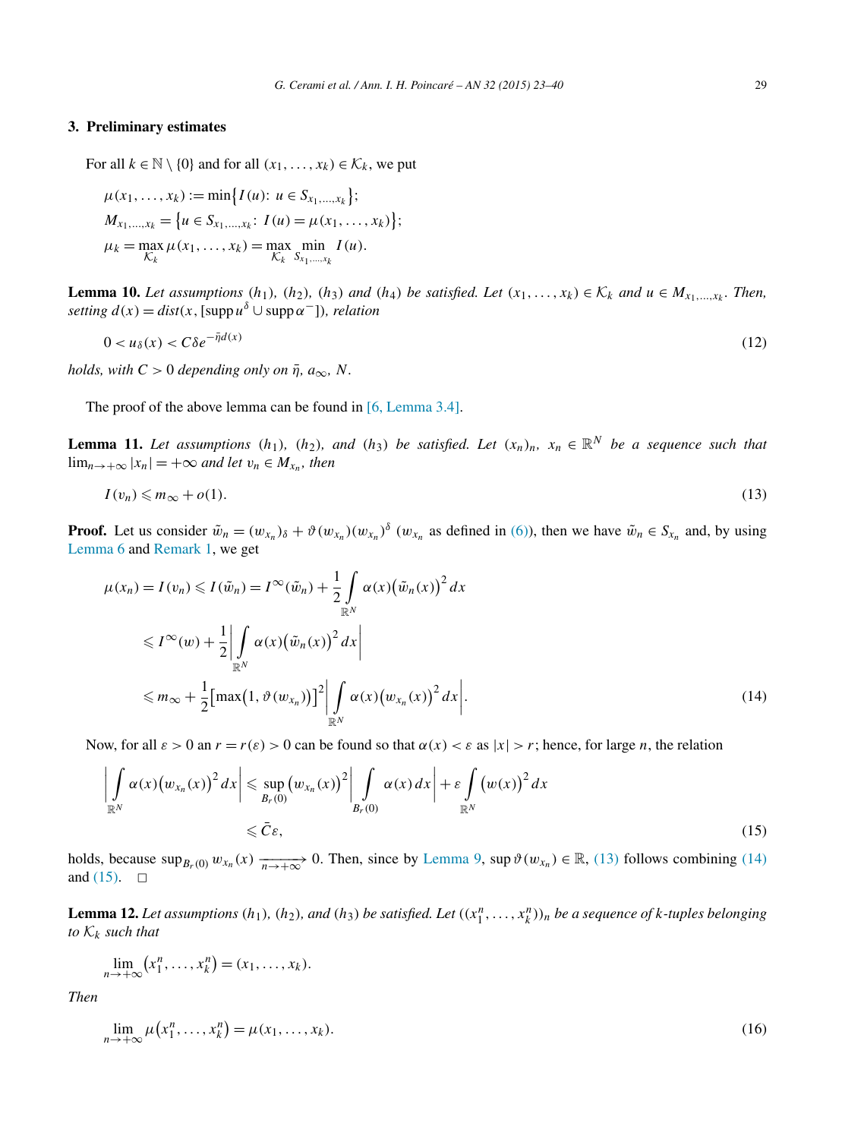### <span id="page-6-0"></span>**3. Preliminary estimates**

For all  $k \in \mathbb{N} \setminus \{0\}$  and for all  $(x_1, \ldots, x_k) \in \mathcal{K}_k$ , we put

$$
\mu(x_1, ..., x_k) := \min\{I(u): u \in S_{x_1, ..., x_k}\};
$$
  
\n
$$
M_{x_1, ..., x_k} = \{u \in S_{x_1, ..., x_k}: I(u) = \mu(x_1, ..., x_k)\};
$$
  
\n
$$
\mu_k = \max_{\mathcal{K}_k} \mu(x_1, ..., x_k) = \max_{\mathcal{K}_k} \min_{S_{x_1, ..., x_k}} I(u).
$$

**Lemma 10.** Let assumptions  $(h_1)$ ,  $(h_2)$ ,  $(h_3)$  and  $(h_4)$  be satisfied. Let  $(x_1, \ldots, x_k) \in \mathcal{K}_k$  and  $u \in M_{x_1,\ldots,x_k}$ . Then,  $\text{setting } d(x) = \text{dist}(x, \text{[supp } u^{\delta} \cup \text{supp } \alpha^{-}])$ *, relation* 

$$
0 < u_\delta(x) < C\delta e^{-\bar{\eta}d(x)}\tag{12}
$$

*holds, with*  $C > 0$  *depending only on*  $\bar{\eta}$ *,*  $a_{\infty}$ *, N*.

The proof of the above lemma can be found in [6, [Lemma 3.4\].](#page-17-0)

**Lemma 11.** *Let assumptions*  $(h_1)$ *,*  $(h_2)$ *, and*  $(h_3)$  *be satisfied. Let*  $(x_n)_n$ *,*  $x_n \in \mathbb{R}^N$  *be a sequence such that*  $\lim_{n \to +\infty} |x_n| = +\infty$  *and let*  $v_n \in M_{x_n}$ *, then* 

$$
I(v_n) \leqslant m_\infty + o(1). \tag{13}
$$

**Proof.** Let us consider  $\tilde{w}_n = (w_{x_n})_\delta + \vartheta(w_{x_n})(w_{x_n})^\delta(w_{x_n})$  as defined in [\(6\)\)](#page-3-0), then we have  $\tilde{w}_n \in S_{x_n}$  and, by using [Lemma 6](#page-5-0) and [Remark 1,](#page-5-0) we get

$$
\mu(x_n) = I(v_n) \leqslant I(\tilde{w}_n) = I^{\infty}(\tilde{w}_n) + \frac{1}{2} \int_{\mathbb{R}^N} \alpha(x) (\tilde{w}_n(x))^2 dx
$$
  
\n
$$
\leqslant I^{\infty}(w) + \frac{1}{2} \left| \int_{\mathbb{R}^N} \alpha(x) (\tilde{w}_n(x))^2 dx \right|
$$
  
\n
$$
\leqslant m_{\infty} + \frac{1}{2} \left[ \max(1, \vartheta(w_{x_n})) \right]^2 \left| \int_{\mathbb{R}^N} \alpha(x) (w_{x_n}(x))^2 dx \right|.
$$
\n(14)

Now, for all  $\varepsilon > 0$  an  $r = r(\varepsilon) > 0$  can be found so that  $\alpha(x) < \varepsilon$  as  $|x| > r$ ; hence, for large *n*, the relation

$$
\left| \int_{\mathbb{R}^N} \alpha(x) \big( w_{x_n}(x) \big)^2 dx \right| \leq \sup_{B_r(0)} \big( w_{x_n}(x) \big)^2 \bigg| \int_{B_r(0)} \alpha(x) dx \bigg| + \varepsilon \int_{\mathbb{R}^N} \big( w(x) \big)^2 dx
$$
\n
$$
\leq \bar{C} \varepsilon,
$$
\n(15)

holds, because  $\sup_{B_r(0)} w_{x_n}(x) \xrightarrow[n \to +\infty]{} 0$ . Then, since by [Lemma 9,](#page-5-0)  $\sup \vartheta(w_{x_n}) \in \mathbb{R}$ , (13) follows combining (14) and  $(15)$ .  $\Box$ 

**Lemma 12.** Let assumptions  $(h_1)$ ,  $(h_2)$ , and  $(h_3)$  be satisfied. Let  $((x_1^n,\ldots,x_k^n))_n$  be a sequence of k-tuples belonging *to*  $K_k$  *such that* 

$$
\lim_{n\to+\infty}(x_1^n,\ldots,x_k^n)=(x_1,\ldots,x_k).
$$

*Then*

$$
\lim_{n \to +\infty} \mu(x_1^n, \dots, x_k^n) = \mu(x_1, \dots, x_k). \tag{16}
$$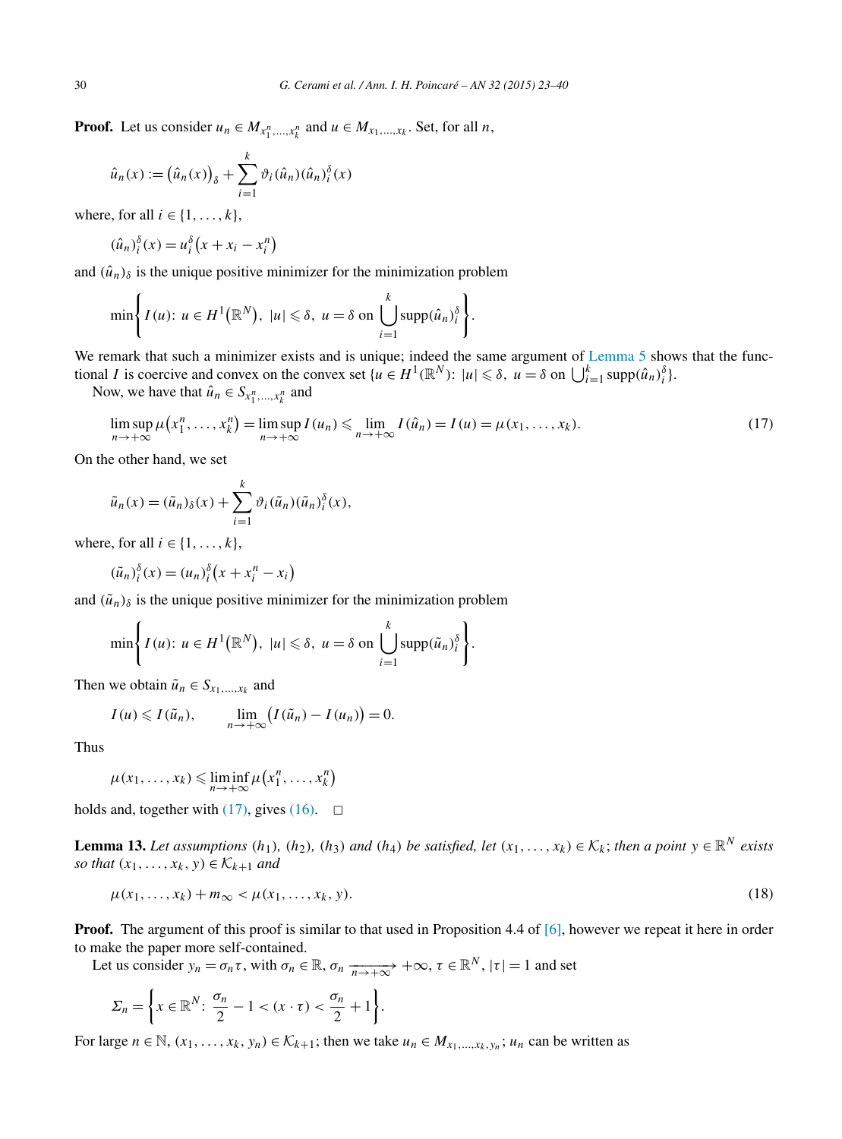<span id="page-7-0"></span>**Proof.** Let us consider  $u_n \in M_{x_1^n, \dots, x_k^n}$  and  $u \in M_{x_1, \dots, x_k}$ . Set, for all *n*,

$$
\hat{u}_n(x) := (\hat{u}_n(x))_{\delta} + \sum_{i=1}^k \vartheta_i(\hat{u}_n)(\hat{u}_n)_{i}^{\delta}(x)
$$

where, for all  $i \in \{1, \ldots, k\}$ ,

$$
(\hat{u}_n)^{\delta}_i(x) = u_i^{\delta}\left(x + x_i - x_i^n\right)
$$

and  $(\hat{u}_n)_{\delta}$  is the unique positive minimizer for the minimization problem

$$
\min \left\{ I(u): u \in H^1(\mathbb{R}^N), \ |u| \leq \delta, \ u = \delta \text{ on } \bigcup_{i=1}^k \mathrm{supp}(\hat{u}_n)_{i}^{\delta} \right\}.
$$

We remark that such a minimizer exists and is unique; indeed the same argument of [Lemma 5](#page-4-0) shows that the functional *I* is coercive and convex on the convex set  $\{u \in H^1(\mathbb{R}^N): |u| \leq \delta, u = \delta \text{ on } \bigcup_{i=1}^k \text{supp}(\hat{u}_n)^{\delta_i}_i\}.$ 

Now, we have that  $\hat{u}_n \in S_{x_1^n, \dots, x_k^n}$  and

$$
\limsup_{n \to +\infty} \mu\big(x_1^n, \dots, x_k^n\big) = \limsup_{n \to +\infty} I(u_n) \le \lim_{n \to +\infty} I(\hat{u}_n) = I(u) = \mu(x_1, \dots, x_k). \tag{17}
$$

On the other hand, we set

$$
\tilde{u}_n(x) = (\tilde{u}_n)_{\delta}(x) + \sum_{i=1}^k \vartheta_i(\tilde{u}_n)(\tilde{u}_n)_{i}^{\delta}(x),
$$

where, for all  $i \in \{1, \ldots, k\}$ ,

$$
(\tilde{u}_n)^{\delta}_i(x) = (u_n)^{\delta}_i\left(x + x_i^n - x_i\right)
$$

and  $(\tilde{u}_n)_{\delta}$  is the unique positive minimizer for the minimization problem

$$
\min \left\{ I(u): u \in H^1(\mathbb{R}^N), \ |u| \leq \delta, \ u = \delta \text{ on } \bigcup_{i=1}^k \mathrm{supp}(\tilde{u}_n)_i^{\delta} \right\}.
$$

Then we obtain  $\tilde{u}_n \in S_{x_1,...,x_k}$  and

$$
I(u) \leqslant I(\tilde{u}_n), \qquad \lim_{n \to +\infty} \bigl( I(\tilde{u}_n) - I(u_n) \bigr) = 0.
$$

Thus

$$
\mu(x_1,\ldots,x_k) \leqslant \liminf_{n\to+\infty} \mu(x_1^n,\ldots,x_k^n)
$$

holds and, together with  $(17)$ , gives  $(16)$ .  $\Box$ 

**Lemma 13.** Let assumptions  $(h_1)$ ,  $(h_2)$ ,  $(h_3)$  and  $(h_4)$  be satisfied, let  $(x_1, \ldots, x_k) \in K_k$ ; then a point  $y \in \mathbb{R}^N$  exists *so that*  $(x_1, \ldots, x_k, y) \in \mathcal{K}_{k+1}$  *and* 

$$
\mu(x_1, ..., x_k) + m_{\infty} < \mu(x_1, ..., x_k, y). \tag{18}
$$

**Proof.** The argument of this proof is similar to that used in Proposition 4.4 of [\[6\],](#page-17-0) however we repeat it here in order to make the paper more self-contained.

Let us consider  $y_n = \sigma_n \tau$ , with  $\sigma_n \in \mathbb{R}$ ,  $\sigma_n \xrightarrow[n \to +\infty]{} +\infty$ ,  $\tau \in \mathbb{R}^N$ ,  $|\tau| = 1$  and set

$$
\Sigma_n = \left\{ x \in \mathbb{R}^N \colon \frac{\sigma_n}{2} - 1 < (x \cdot \tau) < \frac{\sigma_n}{2} + 1 \right\}.
$$

For large  $n \in \mathbb{N}$ ,  $(x_1, \ldots, x_k, y_n) \in \mathcal{K}_{k+1}$ ; then we take  $u_n \in M_{x_1, \ldots, x_k, y_n}$ ;  $u_n$  can be written as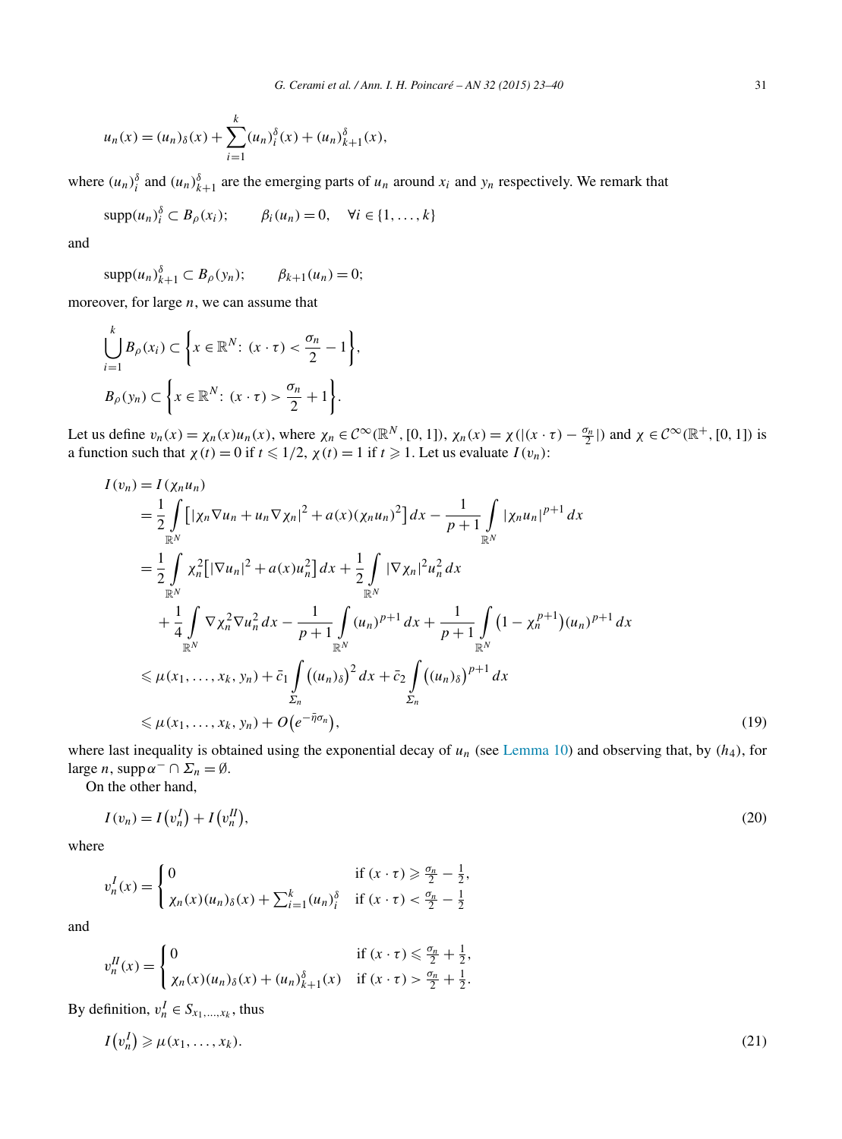<span id="page-8-0"></span>
$$
u_n(x) = (u_n)_{\delta}(x) + \sum_{i=1}^k (u_n)_{i}^{\delta}(x) + (u_n)_{k+1}^{\delta}(x),
$$

where  $(u_n)$ <sup> $\delta$ </sup> and  $(u_n)$ <sup> $\delta$ </sup><sub>k+1</sub> are the emerging parts of  $u_n$  around  $x_i$  and  $y_n$  respectively. We remark that

$$
\operatorname{supp}(u_n)_i^{\delta} \subset B_{\rho}(x_i); \qquad \beta_i(u_n) = 0, \quad \forall i \in \{1, \dots, k\}
$$

and

$$
\operatorname{supp}(u_n)_{k+1}^{\delta} \subset B_{\rho}(y_n); \qquad \beta_{k+1}(u_n) = 0;
$$

moreover, for large *n*, we can assume that

$$
\bigcup_{i=1}^{k} B_{\rho}(x_i) \subset \left\{ x \in \mathbb{R}^N \colon (x \cdot \tau) < \frac{\sigma_n}{2} - 1 \right\},
$$
\n
$$
B_{\rho}(y_n) \subset \left\{ x \in \mathbb{R}^N \colon (x \cdot \tau) > \frac{\sigma_n}{2} + 1 \right\}.
$$

Let us define  $v_n(x) = \chi_n(x)u_n(x)$ , where  $\chi_n \in C^{\infty}(\mathbb{R}^N, [0, 1])$ ,  $\chi_n(x) = \chi((x \cdot \tau) - \frac{\sigma_n}{2})$  and  $\chi \in C^{\infty}(\mathbb{R}^+, [0, 1])$  is a function such that  $\chi(t) = 0$  if  $t \leq 1/2$ ,  $\chi(t) = 1$  if  $t \geq 1$ . Let us evaluate  $I(v_n)$ :

$$
I(v_n) = I(\chi_n u_n)
$$
  
\n
$$
= \frac{1}{2} \int_{\mathbb{R}^N} \left[ |\chi_n \nabla u_n + u_n \nabla \chi_n|^2 + a(x) (\chi_n u_n)^2 \right] dx - \frac{1}{p+1} \int_{\mathbb{R}^N} |\chi_n u_n|^{p+1} dx
$$
  
\n
$$
= \frac{1}{2} \int_{\mathbb{R}^N} \chi_n^2 \left[ |\nabla u_n|^2 + a(x) u_n^2 \right] dx + \frac{1}{2} \int_{\mathbb{R}^N} |\nabla \chi_n|^2 u_n^2 dx
$$
  
\n
$$
+ \frac{1}{4} \int_{\mathbb{R}^N} \nabla \chi_n^2 \nabla u_n^2 dx - \frac{1}{p+1} \int_{\mathbb{R}^N} (u_n)^{p+1} dx + \frac{1}{p+1} \int_{\mathbb{R}^N} (1 - \chi_n^{p+1}) (u_n)^{p+1} dx
$$
  
\n
$$
\leq \mu(x_1, ..., x_k, y_n) + \bar{c}_1 \int_{\Sigma_n} ((u_n)_{\delta})^2 dx + \bar{c}_2 \int_{\Sigma_n} ((u_n)_{\delta})^{p+1} dx
$$
  
\n
$$
\leq \mu(x_1, ..., x_k, y_n) + O(e^{-\bar{\eta} \sigma_n}), \qquad (19)
$$

where last inequality is obtained using the exponential decay of *un* (see [Lemma 10\)](#page-6-0) and observing that, by *(h*4*)*, for large *n*, supp $\alpha^{-} \cap \Sigma_{n} = \emptyset$ .

On the other hand,

$$
I(v_n) = I(v_n^I) + I(v_n^I),
$$
\n<sup>(20)</sup>

where

$$
v_n^I(x) = \begin{cases} 0 & \text{if } (x \cdot \tau) \ge \frac{\sigma_n}{2} - \frac{1}{2}, \\ \chi_n(x)(u_n)_{\delta}(x) + \sum_{i=1}^k (u_n)_{i}^{\delta} & \text{if } (x \cdot \tau) < \frac{\sigma_n}{2} - \frac{1}{2} \end{cases}
$$

and

$$
v_n^H(x) = \begin{cases} 0 & \text{if } (x \cdot \tau) \leq \frac{\sigma_n}{2} + \frac{1}{2}, \\ \chi_n(x)(u_n)_{\delta}(x) + (u_n)_{k+1}^{\delta}(x) & \text{if } (x \cdot \tau) > \frac{\sigma_n}{2} + \frac{1}{2}. \end{cases}
$$

By definition,  $v_n^I \in S_{x_1,...,x_k}$ , thus

$$
I(v_n^I) \geq \mu(x_1, \dots, x_k). \tag{21}
$$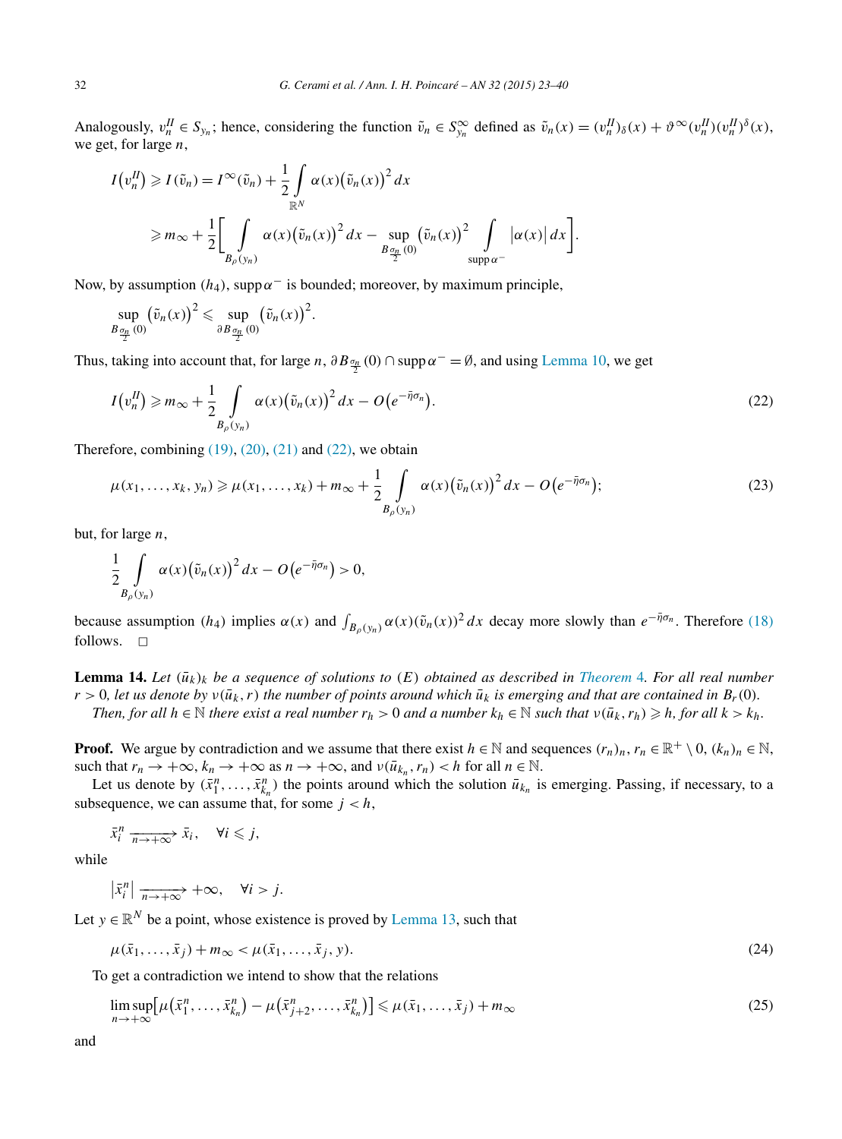<span id="page-9-0"></span>Analogously,  $v_n^H \in S_{y_n}$ ; hence, considering the function  $\tilde{v}_n \in S_{y_n}^{\infty}$  defined as  $\tilde{v}_n(x) = (v_n^H)_{\delta}(x) + \vartheta^{\infty}(v_n^H)(v_n^H)^{\delta}(x)$ , we get, for large *n*,

$$
I(v_n^H) \geqslant I(\tilde{v}_n) = I^{\infty}(\tilde{v}_n) + \frac{1}{2} \int_{\mathbb{R}^N} \alpha(x) (\tilde{v}_n(x))^2 dx
$$
  
\n
$$
\geqslant m_{\infty} + \frac{1}{2} \Biggl[ \int_{B_{\rho}(y_n)} \alpha(x) (\tilde{v}_n(x))^2 dx - \sup_{B_{\frac{\sigma_n}{2}}(0)} (\tilde{v}_n(x))^2 \int_{\text{supp}\,\alpha^{-}} |\alpha(x)| dx \Biggr].
$$

Now, by assumption  $(h_4)$ , supp $\alpha^-$  is bounded; moreover, by maximum principle,

*.*

$$
\sup_{B_{\frac{\sigma_n}{2}}(0)} (\tilde{v}_n(x))^2 \leq \sup_{\partial B_{\frac{\sigma_n}{2}}(0)} (\tilde{v}_n(x))^2
$$

Thus, taking into account that, for large *n*,  $\partial B_{\frac{\sigma_n}{2}}(0) \cap \text{supp}\alpha^{-} = \emptyset$ , and using [Lemma 10,](#page-6-0) we get

$$
I(v_n^H) \geqslant m_\infty + \frac{1}{2} \int\limits_{B_\rho(y_n)} \alpha(x) (\tilde{v}_n(x))^2 dx - O(e^{-\tilde{\eta}\sigma_n}).
$$
\n
$$
(22)
$$

Therefore, combining  $(19)$ ,  $(20)$ ,  $(21)$  and  $(22)$ , we obtain

$$
\mu(x_1,\ldots,x_k,y_n) \geqslant \mu(x_1,\ldots,x_k) + m_\infty + \frac{1}{2} \int\limits_{B_\rho(y_n)} \alpha(x) \big(\tilde{v}_n(x)\big)^2 dx - O\big(e^{-\bar{\eta}\sigma_n}\big); \tag{23}
$$

but, for large *n*,

$$
\frac{1}{2} \int\limits_{B_{\rho}(y_n)} \alpha(x) (\tilde{v}_n(x))^2 dx - O(e^{-\bar{\eta}\sigma_n}) > 0,
$$

because assumption (*h*<sub>4</sub>) implies  $\alpha(x)$  and  $\int_{B_\rho(y_n)} \alpha(x) (\tilde{v}_n(x))^2 dx$  decay more slowly than  $e^{-\tilde{\eta}\sigma_n}$ . Therefore [\(18\)](#page-7-0) follows.  $\square$ 

**Lemma 14.** Let  $(\bar{u}_k)_k$  be a sequence of solutions to  $(E)$  obtained as described in [Theorem](#page-4-0) 4. For all real number  $r > 0$ , let us denote by  $v(\bar{u}_k, r)$  the number of points around which  $\bar{u}_k$  is emerging and that are contained in  $B_r(0)$ *. Then, for all*  $h \in \mathbb{N}$  *there exist a real number*  $r_h > 0$  *and a number*  $k_h \in \mathbb{N}$  *such that*  $v(\bar{u}_k, r_h) \geq h$ *, for all*  $k > k_h$ *.* 

**Proof.** We argue by contradiction and we assume that there exist  $h \in \mathbb{N}$  and sequences  $(r_n)_n$ ,  $r_n \in \mathbb{R}^+ \setminus 0$ ,  $(k_n)_n \in \mathbb{N}$ , such that  $r_n \to +\infty$ ,  $k_n \to +\infty$  as  $n \to +\infty$ , and  $\nu(\bar{u}_{k_n}, r_n) < h$  for all  $n \in \mathbb{N}$ .

Let us denote by  $(\bar{x}_1^n, \ldots, \bar{x}_{k_n}^n)$  the points around which the solution  $\bar{u}_{k_n}$  is emerging. Passing, if necessary, to a subsequence, we can assume that, for some  $j < h$ ,

$$
\bar{x}_i^n \xrightarrow[n \to +\infty]{} \bar{x}_i, \quad \forall i \leq j,
$$

while

 $\left|\bar{x}_i^n\right| \xrightarrow[n \to +\infty]{} +\infty, \quad \forall i > j.$ 

Let  $y \in \mathbb{R}^N$  be a point, whose existence is proved by [Lemma 13,](#page-7-0) such that

$$
\mu(\bar{x}_1,\ldots,\bar{x}_j) + m_\infty < \mu(\bar{x}_1,\ldots,\bar{x}_j,\mathbf{y}).\tag{24}
$$

To get a contradiction we intend to show that the relations

$$
\limsup_{n \to +\infty} \left[ \mu\left(\bar{x}_1^n, \dots, \bar{x}_{k_n}^n\right) - \mu\left(\bar{x}_{j+2}^n, \dots, \bar{x}_{k_n}^n\right) \right] \leq \mu(\bar{x}_1, \dots, \bar{x}_j) + m_\infty \tag{25}
$$

and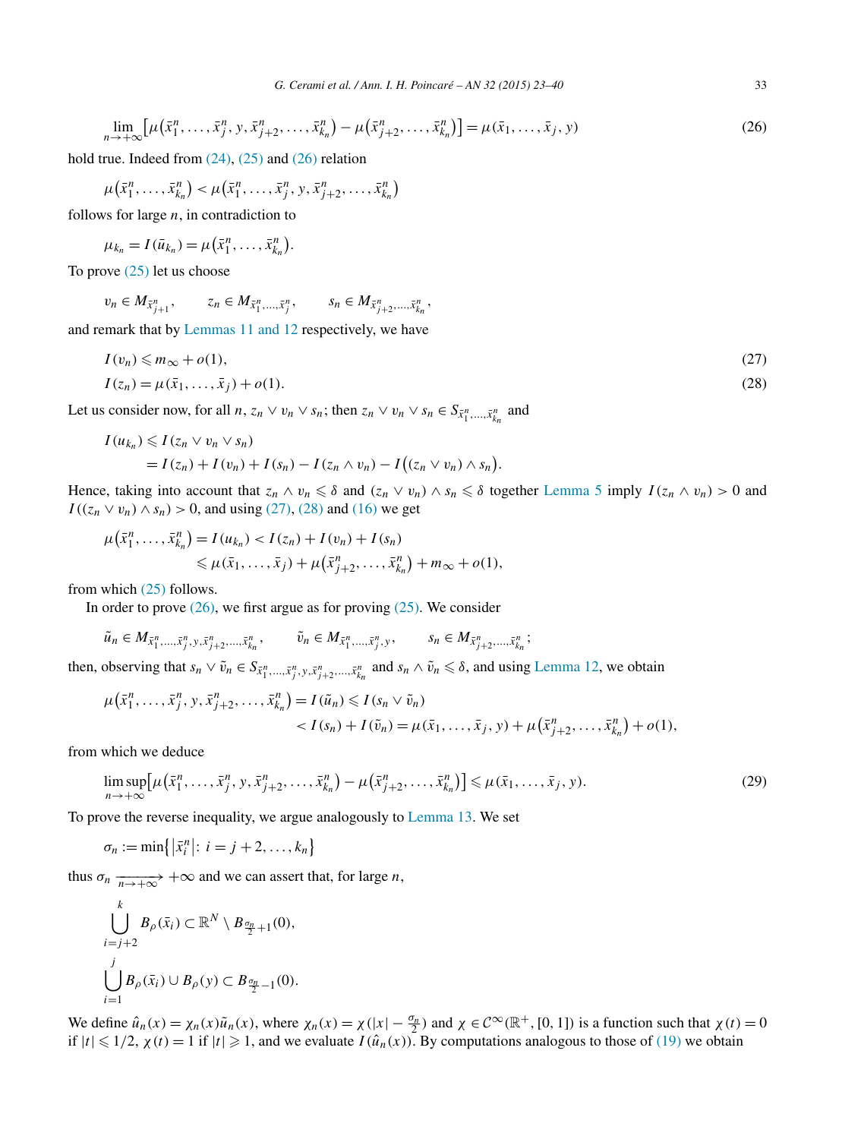<span id="page-10-0"></span>
$$
\lim_{n \to +\infty} \left[ \mu\left(\bar{x}_1^n, \dots, \bar{x}_j^n, y, \bar{x}_{j+2}^n, \dots, \bar{x}_{k_n}^n\right) - \mu\left(\bar{x}_{j+2}^n, \dots, \bar{x}_{k_n}^n\right) \right] = \mu(\bar{x}_1, \dots, \bar{x}_j, y) \tag{26}
$$

hold true. Indeed from  $(24)$ ,  $(25)$  and  $(26)$  relation

$$
\mu(\bar{x}_1^n, ..., \bar{x}_{k_n}^n) < \mu(\bar{x}_1^n, ..., \bar{x}_j^n, y, \bar{x}_{j+2}^n, ..., \bar{x}_{k_n}^n)
$$

follows for large *n*, in contradiction to

$$
\mu_{k_n}=I(\bar{u}_{k_n})=\mu(\bar{x}_1^n,\ldots,\bar{x}_{k_n}^n).
$$

To prove [\(25\)](#page-9-0) let us choose

$$
v_n \in M_{\bar{x}_{j+1}^n}, \qquad z_n \in M_{\bar{x}_1^n, \dots, \bar{x}_j^n}, \qquad s_n \in M_{\bar{x}_{j+2}^n, \dots, \bar{x}_{k_n}^n},
$$

and remark that by [Lemmas 11 and 12](#page-6-0) respectively, we have

$$
I(v_n) \leqslant m_\infty + o(1),
$$
  
\n
$$
I(z_n) = \mu(\bar{x}_1, \dots, \bar{x}_j) + o(1).
$$
\n(27)

Let us consider now, for all *n*,  $z_n \vee v_n \vee s_n$ ; then  $z_n \vee v_n \vee s_n \in S_{\bar{x}_1^n, \dots, \bar{x}_{k_n}^n}$  and

$$
I(u_{k_n}) \leqslant I(z_n \vee v_n \vee s_n)
$$
  
=  $I(z_n) + I(v_n) + I(s_n) - I(z_n \wedge v_n) - I((z_n \vee v_n) \wedge s_n).$ 

Hence, taking into account that  $z_n \wedge v_n \leq \delta$  and  $(z_n \vee v_n) \wedge s_n \leq \delta$  together [Lemma 5](#page-4-0) imply  $I(z_n \wedge v_n) > 0$  and *I*(( $z_n$  ∨  $v_n$ ) ∧  $s_n$ ) > 0, and using (27), (28) and [\(16\)](#page-6-0) we get

$$
\mu(\bar{x}_1^n, \dots, \bar{x}_{k_n}^n) = I(u_{k_n}) < I(z_n) + I(v_n) + I(s_n) \\
 \leq \mu(\bar{x}_1, \dots, \bar{x}_j) + \mu(\bar{x}_{j+2}^n, \dots, \bar{x}_{k_n}^n) + m_\infty + o(1),
$$

from which [\(25\)](#page-9-0) follows.

In order to prove  $(26)$ , we first argue as for proving  $(25)$ . We consider

 $\tilde{u}_n \in M_{\bar{x}_1^n, ..., \bar{x}_j^n, y, \bar{x}_{j+2}^n, ..., \bar{x}_{k_n}^n}$ ,  $\tilde{v}_n \in M_{\bar{x}_1^n, ..., \bar{x}_j^n, y},$   $s_n \in M_{\bar{x}_{j+2}^n, ..., \bar{x}_{k_n}^n}$ ;

then, observing that  $s_n \vee \tilde{v}_n \in S_{\tilde{x}_1^n,\dots,\tilde{x}_j^n,y,\tilde{x}_{j+2}^n,\dots,\tilde{x}_{k_n}^n}$  and  $s_n \wedge \tilde{v}_n \leq \delta$ , and using [Lemma 12,](#page-6-0) we obtain

$$
\mu(\bar{x}_1^n, \dots, \bar{x}_j^n, y, \bar{x}_{j+2}^n, \dots, \bar{x}_{k_n}^n) = I(\tilde{u}_n) \le I(s_n \vee \tilde{v}_n) \n< I(s_n) + I(\tilde{v}_n) = \mu(\bar{x}_1, \dots, \bar{x}_j, y) + \mu(\bar{x}_{j+2}^n, \dots, \bar{x}_{k_n}^n) + o(1),
$$

from which we deduce

$$
\limsup_{n \to +\infty} \left[ \mu(\bar{x}_1^n, \dots, \bar{x}_j^n, y, \bar{x}_{j+2}^n, \dots, \bar{x}_{k_n}^n) - \mu(\bar{x}_{j+2}^n, \dots, \bar{x}_{k_n}^n) \right] \leq \mu(\bar{x}_1, \dots, \bar{x}_j, y). \tag{29}
$$

To prove the reverse inequality, we argue analogously to [Lemma 13.](#page-7-0) We set

$$
\sigma_n := \min\left\{ |\bar{x}_i^n|: i = j+2,\ldots,k_n \right\}
$$

thus  $\sigma_n \xrightarrow[n \to +\infty]{} +\infty$  and we can assert that, for large *n*,

$$
\bigcup_{i=j+2}^{k} B_{\rho}(\bar{x}_i) \subset \mathbb{R}^N \setminus B_{\frac{\sigma_n}{2}+1}(0),
$$
  

$$
\bigcup_{i=1}^{j} B_{\rho}(\bar{x}_i) \cup B_{\rho}(y) \subset B_{\frac{\sigma_n}{2}-1}(0).
$$

We define  $\hat{u}_n(x) = \chi_n(x)\tilde{u}_n(x)$ , where  $\chi_n(x) = \chi(|x| - \frac{\sigma_n}{2})$  and  $\chi \in C^\infty(\mathbb{R}^+, [0, 1])$  is a function such that  $\chi(t) = 0$ if  $|t| \leq 1/2$ ,  $\chi(t) = 1$  if  $|t| \geq 1$ , and we evaluate  $I(\hat{u}_n(x))$ . By computations analogous to those of [\(19\)](#page-8-0) we obtain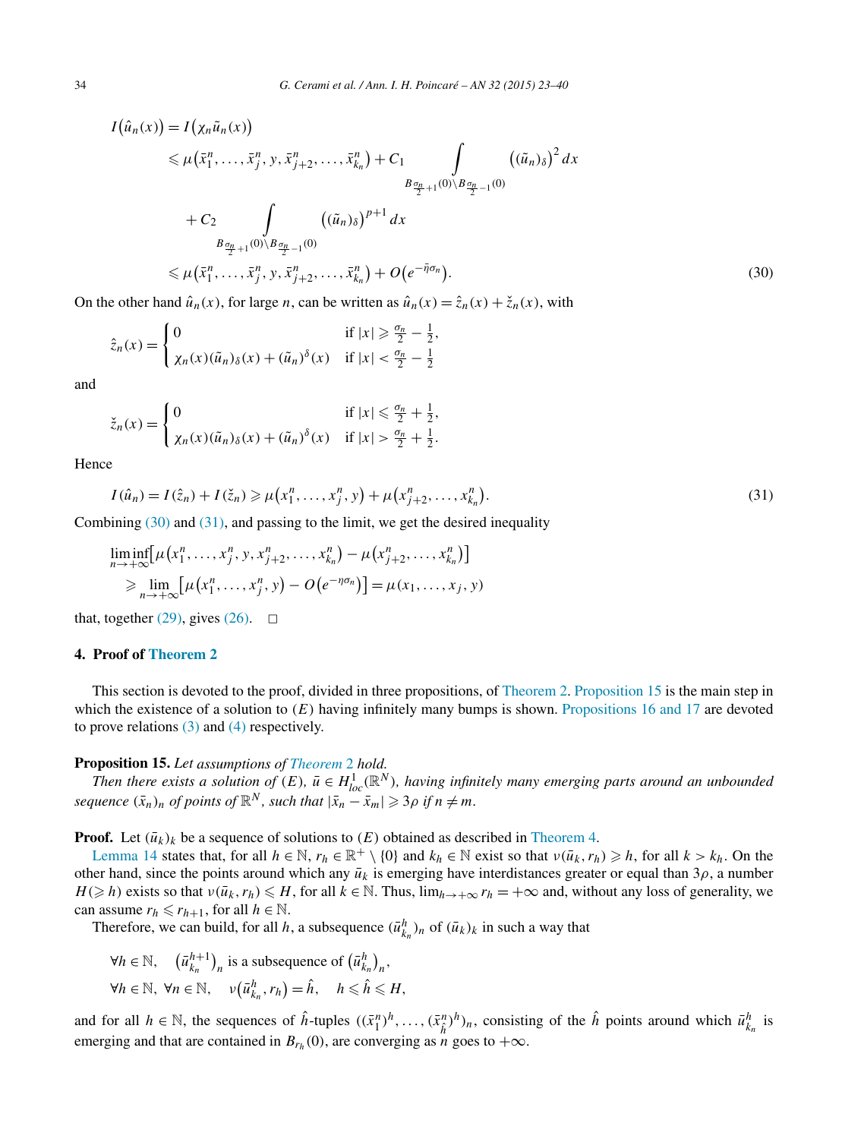<span id="page-11-0"></span>
$$
I(\hat{u}_n(x)) = I(\chi_n \tilde{u}_n(x))
$$
  
\n
$$
\leq \mu(\bar{x}_1^n, \dots, \bar{x}_j^n, y, \bar{x}_{j+2}^n, \dots, \bar{x}_{k_n}^n) + C_1 \int_{B_{\frac{\sigma_n}{2}+1}(0) \setminus B_{\frac{\sigma_n}{2}-1}(0)} ((\tilde{u}_n)_{\delta})^2 dx
$$
  
\n+ C\_2 \int\_{B\_{\frac{\sigma\_n}{2}+1}(0) \setminus B\_{\frac{\sigma\_n}{2}-1}(0)} ((\tilde{u}\_n)\_{\delta})^{p+1} dx  
\n
$$
\leq \mu(\bar{x}_1^n, \dots, \bar{x}_j^n, y, \bar{x}_{j+2}^n, \dots, \bar{x}_{k_n}^n) + O(e^{-\bar{\eta}\sigma_n}).
$$
\n(30)

On the other hand  $\hat{u}_n(x)$ , for large *n*, can be written as  $\hat{u}_n(x) = \hat{z}_n(x) + \check{z}_n(x)$ , with

$$
\hat{z}_n(x) = \begin{cases}\n0 & \text{if } |x| \ge \frac{\sigma_n}{2} - \frac{1}{2}, \\
\chi_n(x)(\tilde{u}_n)_{\delta}(x) + (\tilde{u}_n)^{\delta}(x) & \text{if } |x| < \frac{\sigma_n}{2} - \frac{1}{2}\n\end{cases}
$$

and

$$
\check{z}_n(x) = \begin{cases} 0 & \text{if } |x| \leq \frac{\sigma_n}{2} + \frac{1}{2}, \\ \chi_n(x)(\tilde{u}_n)_{\delta}(x) + (\tilde{u}_n)^{\delta}(x) & \text{if } |x| > \frac{\sigma_n}{2} + \frac{1}{2}. \end{cases}
$$

Hence

$$
I(\hat{u}_n) = I(\hat{z}_n) + I(\check{z}_n) \ge \mu(x_1^n, \dots, x_j^n, y) + \mu(x_{j+2}^n, \dots, x_{k_n}^n). \tag{31}
$$

Combining  $(30)$  and  $(31)$ , and passing to the limit, we get the desired inequality

$$
\liminf_{n \to +\infty} [\mu(x_1^n, ..., x_j^n, y, x_{j+2}^n, ..., x_{k_n}^n) - \mu(x_{j+2}^n, ..., x_{k_n}^n)]
$$
\n
$$
\geq \lim_{n \to +\infty} [\mu(x_1^n, ..., x_j^n, y) - O(e^{-\eta \sigma_n})] = \mu(x_1, ..., x_j, y)
$$

that, together [\(29\),](#page-10-0) gives [\(26\).](#page-10-0)  $\Box$ 

## **4. Proof of [Theorem 2](#page-2-0)**

This section is devoted to the proof, divided in three propositions, of [Theorem 2.](#page-2-0) Proposition 15 is the main step in which the existence of a solution to  $(E)$  having infinitely many bumps is shown. [Propositions 16 and 17](#page-13-0) are devoted to prove relations [\(3\)](#page-2-0) and [\(4\)](#page-2-0) respectively.

#### **Proposition 15.** *Let assumptions of [Theorem](#page-2-0)* 2 *hold.*

*Then there exists a solution of*  $(E)$ ,  $\bar{u} \in H^1_{loc}(\mathbb{R}^N)$ , having infinitely many emerging parts around an unbounded  $\int \text{E}(\bar{x}_n) \cdot f(x) \, dx \text{ for all } x \in \mathbb{R}^N, \text{ such that } |\bar{x}_n - \bar{x}_m| \geqslant 3\rho \text{ if } n \neq m.$ 

**Proof.** Let  $(\bar{u}_k)_k$  be a sequence of solutions to  $(E)$  obtained as described in [Theorem 4.](#page-4-0)

[Lemma 14](#page-9-0) states that, for all  $h \in \mathbb{N}$ ,  $r_h \in \mathbb{R}^+ \setminus \{0\}$  and  $k_h \in \mathbb{N}$  exist so that  $v(\bar{u}_k, r_h) \geq h$ , for all  $k > k_h$ . On the other hand, since the points around which any  $\bar{u}_k$  is emerging have interdistances greater or equal than  $3\rho$ , a number  $H(\geq h)$  exists so that  $v(\bar{u}_k, r_h) \leq H$ , for all  $k \in \mathbb{N}$ . Thus,  $\lim_{h \to +\infty} r_h = +\infty$  and, without any loss of generality, we can assume  $r_h \leq r_{h+1}$ , for all  $h \in \mathbb{N}$ .

Therefore, we can build, for all *h*, a subsequence  $(\bar{u}_{k_n}^h)_n$  of  $(\bar{u}_k)_k$  in such a way that

$$
\forall h \in \mathbb{N}, \quad (\bar{u}_{k_n}^{h+1})_n \text{ is a subsequence of } (\bar{u}_{k_n}^h)_n,
$$
  

$$
\forall h \in \mathbb{N}, \forall n \in \mathbb{N}, \quad v(\bar{u}_{k_n}^h, r_h) = \hat{h}, \quad h \leq \hat{h} \leq H,
$$

and for all  $h \in \mathbb{N}$ , the sequences of  $\hat{h}$ -tuples  $((\bar{x}_1^n)^h, \ldots, (\bar{x}_\hat{h}^n)^h)_n$ , consisting of the  $\hat{h}$  points around which  $\bar{u}_{k_n}^h$  is emerging and that are contained in  $B_{r_h}(0)$ , are converging as *n*<sup>'</sup> goes to  $+\infty$ .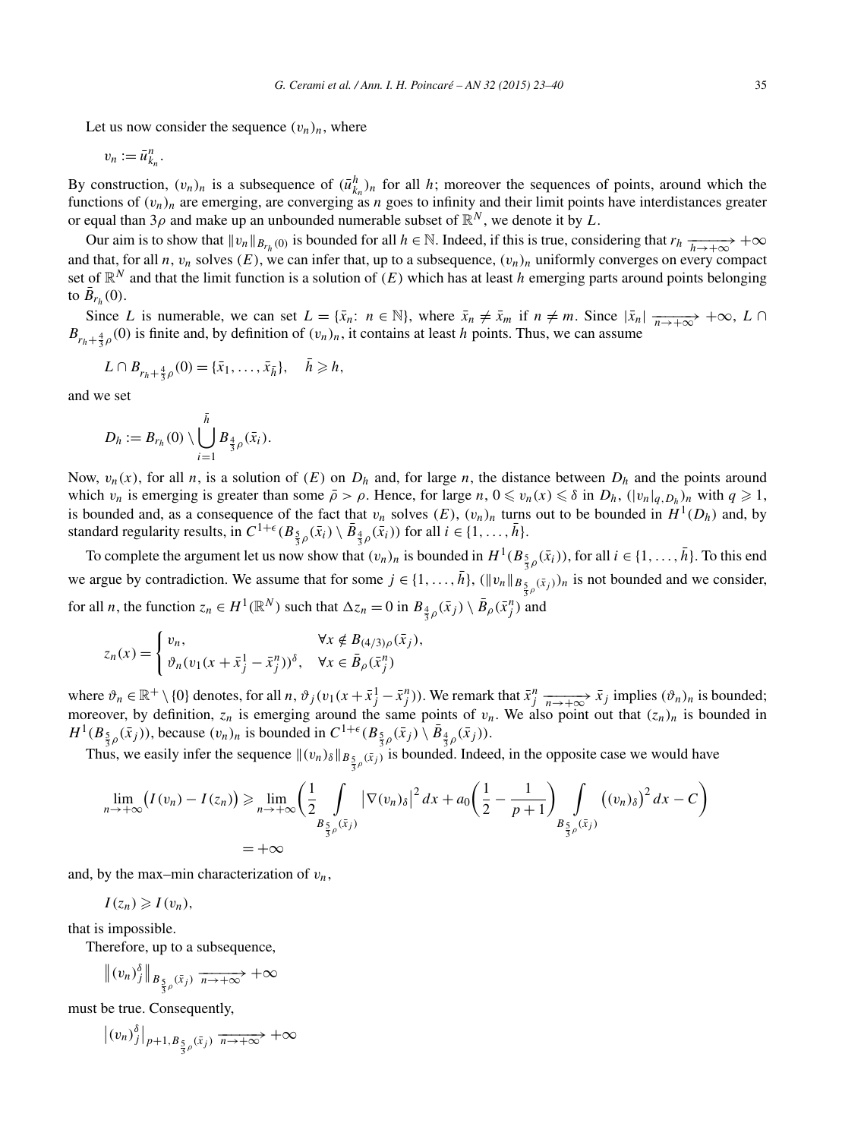Let us now consider the sequence  $(v_n)_n$ , where

$$
v_n:=\bar{u}_{k_n}^n.
$$

By construction,  $(v_n)_n$  is a subsequence of  $(\bar{u}^h_{k_n})_n$  for all *h*; moreover the sequences of points, around which the functions of  $(v_n)_n$  are emerging, are converging as *n* goes to infinity and their limit points have interdistances greater or equal than  $3\rho$  and make up an unbounded numerable subset of  $\mathbb{R}^N$ , we denote it by *L*.

Our aim is to show that  $\|v_n\|_{B_{r_h}(0)}$  is bounded for all  $h \in \mathbb{N}$ . Indeed, if this is true, considering that  $r_h \xrightarrow[h \to +\infty]{} +\infty$ and that, for all *n*,  $v_n$  solves  $(E)$ , we can infer that, up to a subsequence,  $(v_n)_n$  uniformly converges on every compact set of  $\mathbb{R}^N$  and that the limit function is a solution of  $(E)$  which has at least *h* emerging parts around points belonging to  $\bar{B}_{r_h}(0)$ .

Since *L* is numerable, we can set  $L = \{\bar{x}_n : n \in \mathbb{N}\}$ , where  $\bar{x}_n \neq \bar{x}_m$  if  $n \neq m$ . Since  $|\bar{x}_n| \xrightarrow[n \to +\infty]{} +\infty$ ,  $L \cap$  $B_{r_h+\frac{4}{3}\rho}(0)$  is finite and, by definition of  $(v_n)_n$ , it contains at least *h* points. Thus, we can assume

$$
L \cap B_{r_h + \frac{4}{3}\rho}(0) = {\bar{x}_1, \ldots, \bar{x}_{\bar{h}}}, \quad \bar{h} \geqslant h,
$$

and we set

$$
D_h:=B_{r_h}(0)\setminus\bigcup_{i=1}^{\bar h}B_{\frac{4}{3}\rho}(\bar x_i).
$$

Now,  $v_n(x)$ , for all *n*, is a solution of  $(E)$  on  $D_h$  and, for large *n*, the distance between  $D_h$  and the points around which  $v_n$  is emerging is greater than some  $\bar{\rho} > \rho$ . Hence, for large  $n, 0 \le v_n(x) \le \delta$  in  $D_h$ ,  $(|v_n|_{q, D_h})_n$  with  $q \ge 1$ , is bounded and, as a consequence of the fact that  $v_n$  solves  $(E)$ ,  $(v_n)_n$  turns out to be bounded in  $H^1(D_h)$  and, by standard regularity results, in  $C^{1+\epsilon}(B_{\frac{5}{3}\rho}(\bar{x}_i) \setminus \bar{B}_{\frac{4}{3}\rho}(\bar{x}_i))$  for all  $i \in \{1, ..., \bar{h}\}.$ 

To complete the argument let us now show that  $(v_n)_n$  is bounded in  $H^1(B_{\frac{5}{3}\rho}(\bar{x}_i))$ , for all  $i \in \{1, ..., \bar{h}\}$ . To this end we argue by contradiction. We assume that for some  $j \in \{1, ..., \bar{h}\}, (\|v_n\|_{B_{\frac{5}{3}\rho}(\bar{x}_j)})_n$  is not bounded and we consider, for all *n*, the function  $z_n \in H^1(\mathbb{R}^N)$  such that  $\Delta z_n = 0$  in  $B_{\frac{4}{3}\rho}(\bar{x}_j) \setminus \bar{B}_{\rho}(\bar{x}_j^n)$  and

$$
z_n(x) = \begin{cases} v_n, & \forall x \notin B_{(4/3)\rho}(\bar{x}_j), \\ \vartheta_n(v_1(x + \bar{x}_j^1 - \bar{x}_j^n))^{\delta}, & \forall x \in \bar{B}_{\rho}(\bar{x}_j^n). \end{cases}
$$

where  $\vartheta_n \in \mathbb{R}^+ \setminus \{0\}$  denotes, for all  $n$ ,  $\vartheta_j(v_1(x + \bar{x}_j^1 - \bar{x}_j^n))$ . We remark that  $\bar{x}_j^n \xrightarrow[n \to +\infty]{} \bar{x}_j$  implies  $(\vartheta_n)_n$  is bounded; moreover, by definition,  $z_n$  is emerging around the same points of  $v_n$ . We also point out that  $(z_n)_n$  is bounded in *H*<sup>1</sup>(*B*<sub>5</sub><sub>*g*</sub><sub>*(xj*</sub>)), because  $(v_n)_n$  is bounded in  $C^{1+\epsilon}(B_{\frac{5}{3}\rho}(\bar{x}_j) \setminus \bar{B}_{\frac{4}{3}\rho}(\bar{x}_j))$ .

Thus, we easily infer the sequence  $\|(v_n)\delta\|_{B_{\frac{5}{3}\rho}(\bar{x}_j)}$  is bounded. Indeed, in the opposite case we would have

$$
\lim_{n \to +\infty} (I(v_n) - I(z_n)) \ge \lim_{n \to +\infty} \left( \frac{1}{2} \int_{B_{\frac{5}{3}\rho}(\bar{x}_j)} |\nabla(v_n)_\delta|^2 dx + a_0 \left( \frac{1}{2} - \frac{1}{p+1} \right) \int_{B_{\frac{5}{3}\rho}(\bar{x}_j)} ((v_n)_\delta)^2 dx - C \right)
$$
  
= +\infty

and, by the max–min characterization of *vn*,

 $I(z_n) \geqslant I(v_n),$ 

that is impossible.

Therefore, up to a subsequence,

$$
\|(v_n)_j^\delta\|_{B_{\frac{5}{3}\rho}(\bar{x}_j)} \xrightarrow[n \to +\infty]{} +\infty
$$

must be true. Consequently,

 $|(v_n)_j^{\delta}|_{p+1,B_{\frac{5}{3}(\bar{x}_j)} \to +\infty} +\infty$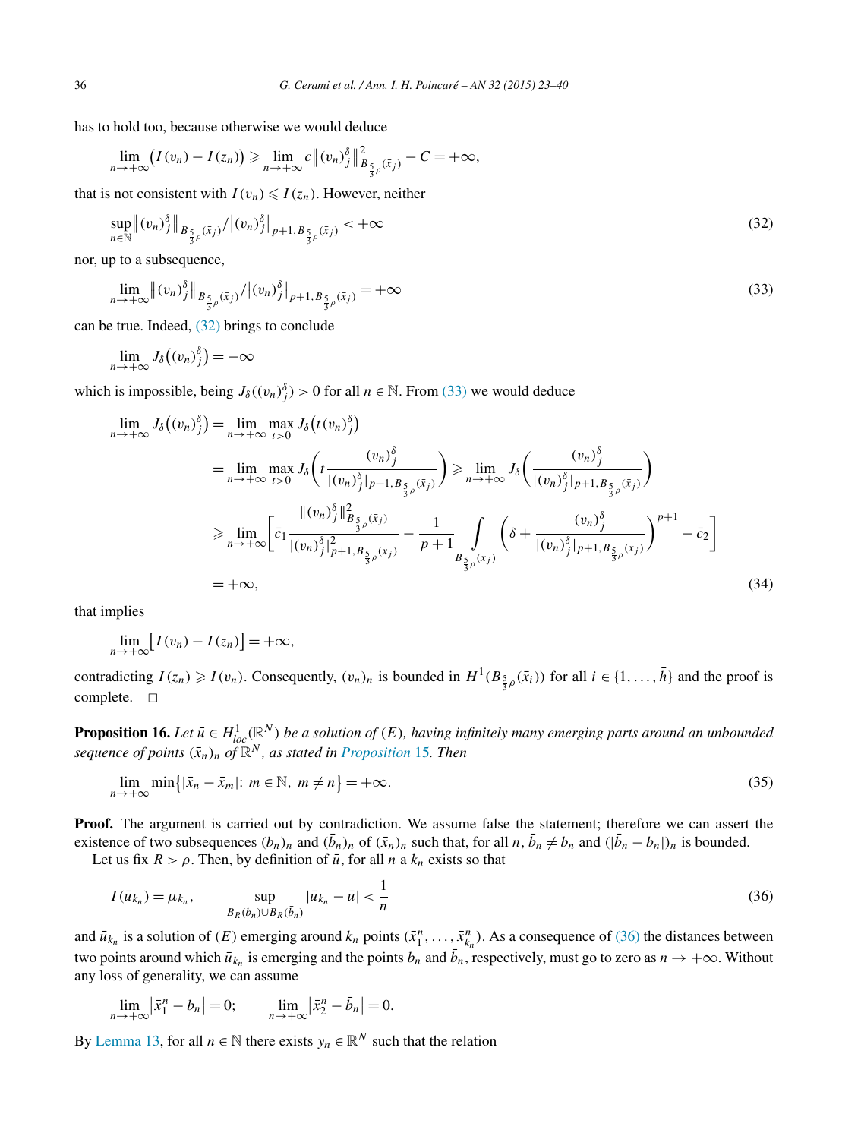<span id="page-13-0"></span>has to hold too, because otherwise we would deduce

$$
\lim_{n\to+\infty}(I(v_n)-I(z_n))\geqslant \lim_{n\to+\infty}c\|(v_n)_j^{\delta}\|_{B_{\frac{\varsigma}{3}\rho}(\bar{x}_j)}^2-C=+\infty,
$$

that is not consistent with  $I(v_n) \leq I(z_n)$ . However, neither

$$
\sup_{n \in \mathbb{N}} \|(v_n)^{\delta}\|_{B_{\frac{5}{3}\rho}(\bar{x}_j)}/\|(v_n)^{\delta}\|_{p+1, B_{\frac{5}{3}\rho}(\bar{x}_j)} < +\infty
$$
\n(32)

nor, up to a subsequence,

$$
\lim_{n \to +\infty} \|(v_n)_j^{\delta}\|_{B_{\frac{5}{3}\rho}(\bar{x}_j)}/\|(v_n)_j^{\delta}\|_{p+1, B_{\frac{5}{3}\rho}(\bar{x}_j)} = +\infty
$$
\n(33)

can be true. Indeed, (32) brings to conclude

$$
\lim_{n\to+\infty}J_{\delta}\big((v_n)^{\delta}_{j}\big)=-\infty
$$

which is impossible, being  $J_{\delta}((v_n)^{\delta}) > 0$  for all  $n \in \mathbb{N}$ . From (33) we would deduce

$$
\lim_{n \to +\infty} J_{\delta}((v_{n})_{j}^{\delta}) = \lim_{n \to +\infty} \max_{t>0} J_{\delta}(t(v_{n})_{j}^{\delta})
$$
\n
$$
= \lim_{n \to +\infty} \max_{t>0} J_{\delta}\left(t(\frac{(v_{n})_{j}^{\delta})}{|(v_{n})_{j}^{\delta}|_{p+1,B_{\frac{5}{3}\rho}(\bar{x}_{j})}}\right) \ge \lim_{n \to +\infty} J_{\delta}\left(\frac{(v_{n})_{j}^{\delta}}{|(v_{n})_{j}^{\delta}|_{p+1,B_{\frac{5}{3}\rho}(\bar{x}_{j})}}\right)
$$
\n
$$
\ge \lim_{n \to +\infty} \left[\bar{c}_{1} \frac{\|(v_{n})_{j}^{\delta}\|_{B_{\frac{5}{3}\rho}(\bar{x}_{j})}^{2}}{|(v_{n})_{j}^{\delta}|_{p+1,B_{\frac{5}{3}\rho}(\bar{x}_{j})}} - \frac{1}{p+1} \int_{B_{\frac{5}{3}\rho}(\bar{x}_{j})} \left(\delta + \frac{(v_{n})_{j}^{\delta}}{|(v_{n})_{j}^{\delta}|_{p+1,B_{\frac{5}{3}\rho}(\bar{x}_{j})}}\right)^{p+1} - \bar{c}_{2}\right]
$$
\n
$$
= +\infty, \qquad (34)
$$

that implies

$$
\lim_{n\to+\infty}[I(v_n)-I(z_n)]=+\infty,
$$

contradicting  $I(z_n) \geqslant I(v_n)$ . Consequently,  $(v_n)_n$  is bounded in  $H^1(B_{\frac{5}{3}\rho}(\bar{x}_i))$  for all  $i \in \{1, ..., \bar{h}\}\)$  and the proof is complete.  $\square$ 

**Proposition 16.** Let  $\bar{u} \in H^1_{loc}(\mathbb{R}^N)$  be a solution of  $(E)$ , having infinitely many emerging parts around an unbounded *sequence of points*  $(\bar{x}_n)_n$  *of*  $\mathbb{R}^N$ *, as stated in [Proposition](#page-11-0)* 15*. Then* 

$$
\lim_{n \to +\infty} \min\{| \bar{x}_n - \bar{x}_m | : m \in \mathbb{N}, m \neq n\} = +\infty. \tag{35}
$$

**Proof.** The argument is carried out by contradiction. We assume false the statement; therefore we can assert the existence of two subsequences  $(b_n)_n$  and  $(\bar{b}_n)_n$  of  $(\bar{x}_n)_n$  such that, for all  $n, \bar{b}_n \neq b_n$  and  $(|\bar{b}_n - b_n|)_n$  is bounded.

Let us fix  $R > \rho$ . Then, by definition of  $\bar{u}$ , for all *n* a  $k_n$  exists so that

$$
I(\bar{u}_{k_n}) = \mu_{k_n}, \qquad \sup_{B_R(b_n) \cup B_R(\bar{b}_n)} |\bar{u}_{k_n} - \bar{u}| < \frac{1}{n} \tag{36}
$$

and  $\bar{u}_{k_n}$  is a solution of *(E)* emerging around  $k_n$  points  $(\bar{x}_1^n, \ldots, \bar{x}_{k_n}^n)$ . As a consequence of (36) the distances between two points around which  $\bar{u}_{k_n}$  is emerging and the points  $b_n$  and  $\bar{b}_n$ , respectively, must go to zero as  $n \to +\infty$ . Without any loss of generality, we can assume

$$
\lim_{n \to +\infty} |\bar{x}_1^n - b_n| = 0; \qquad \lim_{n \to +\infty} |\bar{x}_2^n - \bar{b}_n| = 0.
$$

By [Lemma 13,](#page-7-0) for all  $n \in \mathbb{N}$  there exists  $y_n \in \mathbb{R}^N$  such that the relation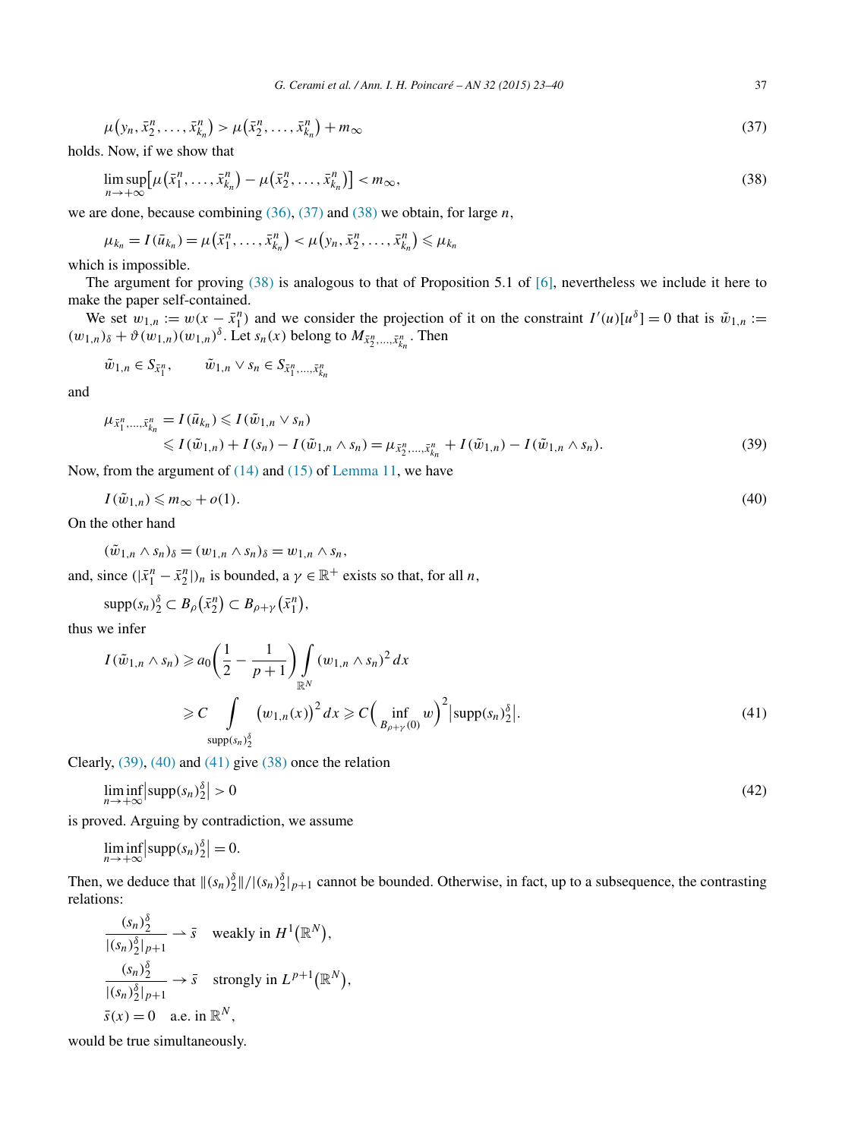<span id="page-14-0"></span>
$$
\mu(y_n, \bar{x}_2^n, \dots, \bar{x}_{k_n}^n) > \mu(\bar{x}_2^n, \dots, \bar{x}_{k_n}^n) + m_{\infty}
$$
\n(37)

holds. Now, if we show that

$$
\limsup_{n \to +\infty} \left[ \mu\left(\bar{x}_1^n, \dots, \bar{x}_{k_n}^n\right) - \mu\left(\bar{x}_2^n, \dots, \bar{x}_{k_n}^n\right) \right] < m_\infty,\tag{38}
$$

we are done, because combining [\(36\),](#page-13-0) (37) and (38) we obtain, for large *n*,

 $\mu_{k_n} = I(\bar{u}_{k_n}) = \mu(\bar{x}_1^n, \ldots, \bar{x}_{k_n}^n) < \mu(y_n, \bar{x}_2^n, \ldots, \bar{x}_{k_n}^n) \leq \mu_{k_n}$ 

which is impossible.

The argument for proving  $(38)$  is analogous to that of Proposition 5.1 of [\[6\],](#page-17-0) nevertheless we include it here to make the paper self-contained.

We set  $w_{1,n} := w(x - \bar{x}_1^n)$  and we consider the projection of it on the constraint  $I'(u)[u^{\delta}] = 0$  that is  $\tilde{w}_{1,n} :=$  $(w_{1,n})_{\delta}$  +  $\vartheta(w_{1,n})(w_{1,n})^{\delta}$ . Let  $s_n(x)$  belong to  $M_{\bar{x}_2^n,\ldots,\bar{x}_{k_n}^n}$ . Then

$$
\tilde{w}_{1,n} \in S_{\bar{x}_1^n}, \qquad \tilde{w}_{1,n} \vee s_n \in S_{\bar{x}_1^n, \dots, \bar{x}_{k_n}^n}
$$

and

$$
\mu_{\bar{x}_1^n,\dots,\bar{x}_{k_n}^n} = I(\bar{u}_{k_n}) \leqslant I(\tilde{w}_{1,n} \vee s_n) \n\leqslant I(\tilde{w}_{1,n}) + I(s_n) - I(\tilde{w}_{1,n} \wedge s_n) = \mu_{\bar{x}_2^n,\dots,\bar{x}_{k_n}^n} + I(\tilde{w}_{1,n}) - I(\tilde{w}_{1,n} \wedge s_n).
$$
\n(39)

Now, from the argument of  $(14)$  and  $(15)$  of [Lemma 11,](#page-6-0) we have

$$
I(\tilde{w}_{1,n}) \leqslant m_{\infty} + o(1). \tag{40}
$$

On the other hand

$$
(\tilde{w}_{1,n} \wedge s_n)_{\delta} = (w_{1,n} \wedge s_n)_{\delta} = w_{1,n} \wedge s_n,
$$

and, since  $(|\bar{x}_1^n - \bar{x}_2^n|)_n$  is bounded, a  $\gamma \in \mathbb{R}^+$  exists so that, for all *n*,

$$
\mathrm{supp}(s_n)^{\delta}_2 \subset B_{\rho}(\bar{x}_2^n) \subset B_{\rho+\gamma}(\bar{x}_1^n),
$$

thus we infer

$$
I(\tilde{w}_{1,n} \wedge s_n) \ge a_0 \left(\frac{1}{2} - \frac{1}{p+1}\right) \int_{\mathbb{R}^N} (w_{1,n} \wedge s_n)^2 dx
$$
  
\n
$$
\ge C \int_{\text{supp}(s_n)_{2}^{\delta}} (w_{1,n}(x))^{2} dx \ge C \left(\inf_{B_{\rho+\gamma}(0)} w\right)^2 |\text{supp}(s_n)_{2}^{\delta}|.
$$
\n(41)

Clearly, (39), (40) and (41) give (38) once the relation

$$
\liminf_{n \to +\infty} |\text{supp}(s_n)^{\delta}_2| > 0 \tag{42}
$$

is proved. Arguing by contradiction, we assume

$$
\liminf_{n \to +\infty} \left| \text{supp}(s_n)^{\delta}_2 \right| = 0.
$$

Then, we deduce that  $\|(s_n)\|^{\delta}_{2}\|/|(s_n)\^{\delta}_{2}\|_{p+1}$  cannot be bounded. Otherwise, in fact, up to a subsequence, the contrasting relations:

$$
\frac{(s_n)^{\delta}_{2}}{|(s_n)^{\delta}_{2}|_{p+1}} \rightharpoonup \bar{s} \quad \text{weakly in } H^{1}(\mathbb{R}^{N}),
$$
  

$$
\frac{(s_n)^{\delta}_{2}}{|(s_n)^{\delta}_{2}|_{p+1}} \rightharpoonup \bar{s} \quad \text{strongly in } L^{p+1}(\mathbb{R}^{N}),
$$
  

$$
\bar{s}(x) = 0 \quad \text{a.e. in } \mathbb{R}^{N},
$$

would be true simultaneously.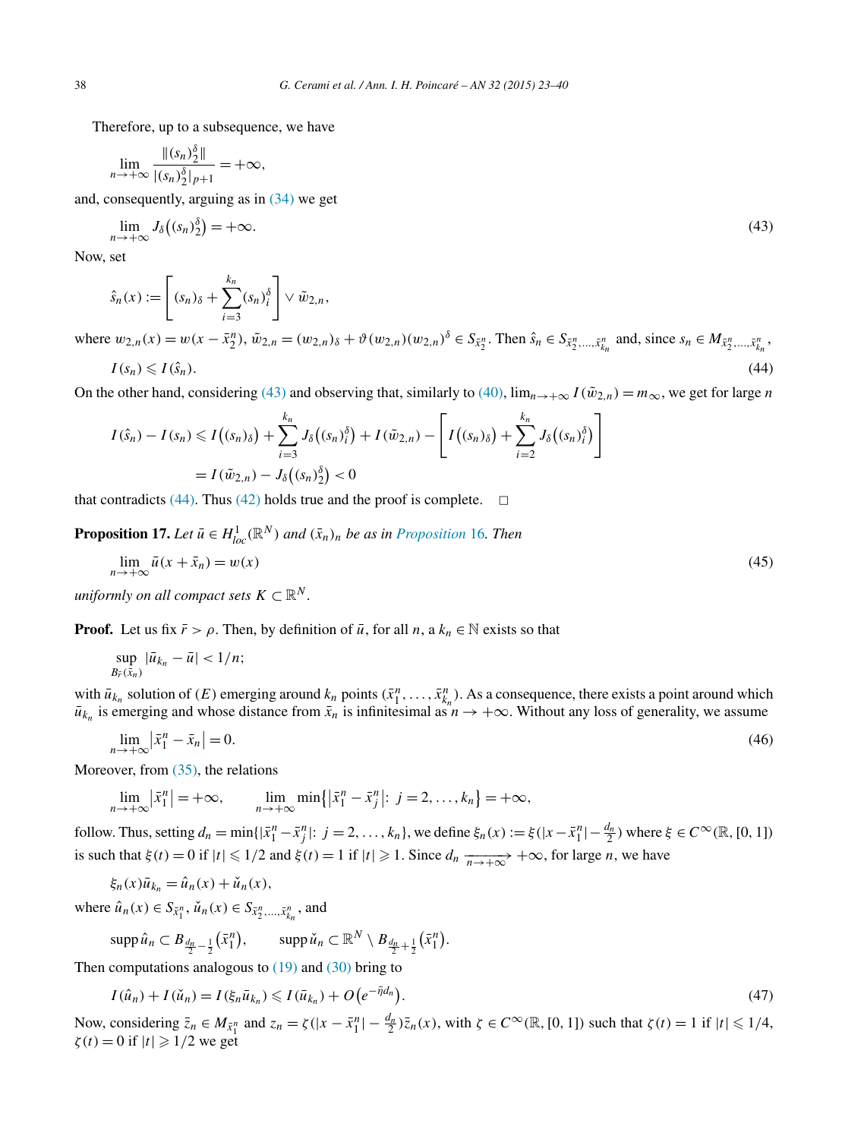<span id="page-15-0"></span>Therefore, up to a subsequence, we have

$$
\lim_{n \to +\infty} \frac{\|(s_n)_{2}^{\delta}\|}{|(s_n)_{2}^{\delta}|_{p+1}} = +\infty,
$$

and, consequently, arguing as in [\(34\)](#page-13-0) we get

$$
\lim_{n \to +\infty} J_{\delta}\big((s_n)_{2}^{\delta}\big) = +\infty. \tag{43}
$$

Now, set

$$
\hat{s}_n(x) := \left[ (s_n)_{\delta} + \sum_{i=3}^{k_n} (s_n)_{i}^{\delta} \right] \vee \tilde{w}_{2,n},
$$

where  $w_{2,n}(x) = w(x - \bar{x}_2^n)$ ,  $\tilde{w}_{2,n} = (w_{2,n})_{\delta} + \vartheta(w_{2,n})(w_{2,n})^{\delta} \in S_{\bar{x}_2^n}$ . Then  $\hat{s}_n \in S_{\bar{x}_2^n, ..., \bar{x}_{k_n}^n}$  and, since  $s_n \in M_{\bar{x}_2^n, ..., \bar{x}_{k_n}^n}$ ,  $I(s_n) \le I(\hat{s}_n).$  (44)

On the other hand, considering (43) and observing that, similarly to [\(40\),](#page-14-0)  $\lim_{n\to+\infty} I(\tilde{w}_{2,n}) = m_\infty$ , we get for large *n* 

$$
I(\hat{s}_n) - I(s_n) \leq I((s_n)_{\delta}) + \sum_{i=3}^{k_n} J_{\delta}((s_n)_{i}^{\delta}) + I(\tilde{w}_{2,n}) - \left[ I((s_n)_{\delta}) + \sum_{i=2}^{k_n} J_{\delta}((s_n)_{i}^{\delta}) \right]
$$
  
=  $I(\tilde{w}_{2,n}) - J_{\delta}((s_n)_{2}^{\delta}) < 0$ 

that contradicts (44). Thus [\(42\)](#page-14-0) holds true and the proof is complete.  $\Box$ 

**[Proposition](#page-13-0) 17.** *Let*  $\bar{u} \in H_{loc}^1(\mathbb{R}^N)$  *and*  $(\bar{x}_n)_n$  *be as in Proposition* 16*. Then* 

$$
\lim_{n \to +\infty} \bar{u}(x + \bar{x}_n) = w(x) \tag{45}
$$

*uniformly on all compact sets*  $K \subset \mathbb{R}^N$ .

**Proof.** Let us fix  $\bar{r} > \rho$ . Then, by definition of  $\bar{u}$ , for all  $n$ , a  $k_n \in \mathbb{N}$  exists so that

$$
\sup_{B_{\bar{r}}(\bar{x}_n)}|\bar{u}_{k_n}-\bar{u}|<1/n;
$$

with  $\bar{u}_{k_n}$  solution of *(E)* emerging around  $k_n$  points  $(\bar{x}_1^n, \ldots, \bar{x}_{k_n}^n)$ . As a consequence, there exists a point around which  $\bar{u}_{k_n}$  is emerging and whose distance from  $\bar{x}_n$  is infinitesimal as  $n \to +\infty$ . Without any loss of generality, we assume

$$
\lim_{n \to +\infty} \left| \bar{x}_1^n - \bar{x}_n \right| = 0. \tag{46}
$$

Moreover, from [\(35\),](#page-13-0) the relations

$$
\lim_{n \to +\infty} |\bar{x}_1^n| = +\infty, \qquad \lim_{n \to +\infty} \min\{|\bar{x}_1^n - \bar{x}_j^n|: j = 2, \dots, k_n\} = +\infty,
$$

follow. Thus, setting  $d_n = \min\{|\bar{x}_1^n - \bar{x}_j^n|: j = 2, ..., k_n\}$ , we define  $\xi_n(x) := \xi(|x - \bar{x}_1^n| - \frac{d_n}{2})$  where  $\xi \in C^\infty(\mathbb{R}, [0, 1])$ is such that  $\xi(t) = 0$  if  $|t| \leq 1/2$  and  $\xi(t) = 1$  if  $|t| \geq 1$ . Since  $d_n \frac{1}{n \to +\infty} +\infty$ , for large *n*, we have

$$
\xi_n(x)\overline{u}_{k_n} = \hat{u}_n(x) + \check{u}_n(x),
$$

where  $\hat{u}_n(x) \in S_{\bar{x}_1^n}, \, \check{u}_n(x) \in S_{\bar{x}_2^n, \dots, \bar{x}_{k_n}^n}$ , and

$$
\mathrm{supp}\,\hat{u}_n\subset B_{\frac{d_n}{2}-\frac{1}{2}}(\bar{x}_1^n),\qquad\mathrm{supp}\,\check{u}_n\subset\mathbb{R}^N\setminus B_{\frac{d_n}{2}+\frac{1}{2}}(\bar{x}_1^n).
$$

Then computations analogous to  $(19)$  and  $(30)$  bring to

$$
I(\hat{u}_n) + I(\check{u}_n) = I(\xi_n \bar{u}_{k_n}) \leqslant I(\bar{u}_{k_n}) + O(e^{-\bar{\eta}d_n}).
$$
\n
$$
(47)
$$

Now, considering  $\overline{z}_n \in M_{\overline{x}_1^n}$  and  $z_n = \zeta(|x - \overline{x}_1^n| - \frac{d_n}{2})\overline{z}_n(x)$ , with  $\zeta \in C^\infty(\mathbb{R}, [0, 1])$  such that  $\zeta(t) = 1$  if  $|t| \leq 1/4$ ,  $\zeta(t) = 0$  if  $|t| \geq 1/2$  we get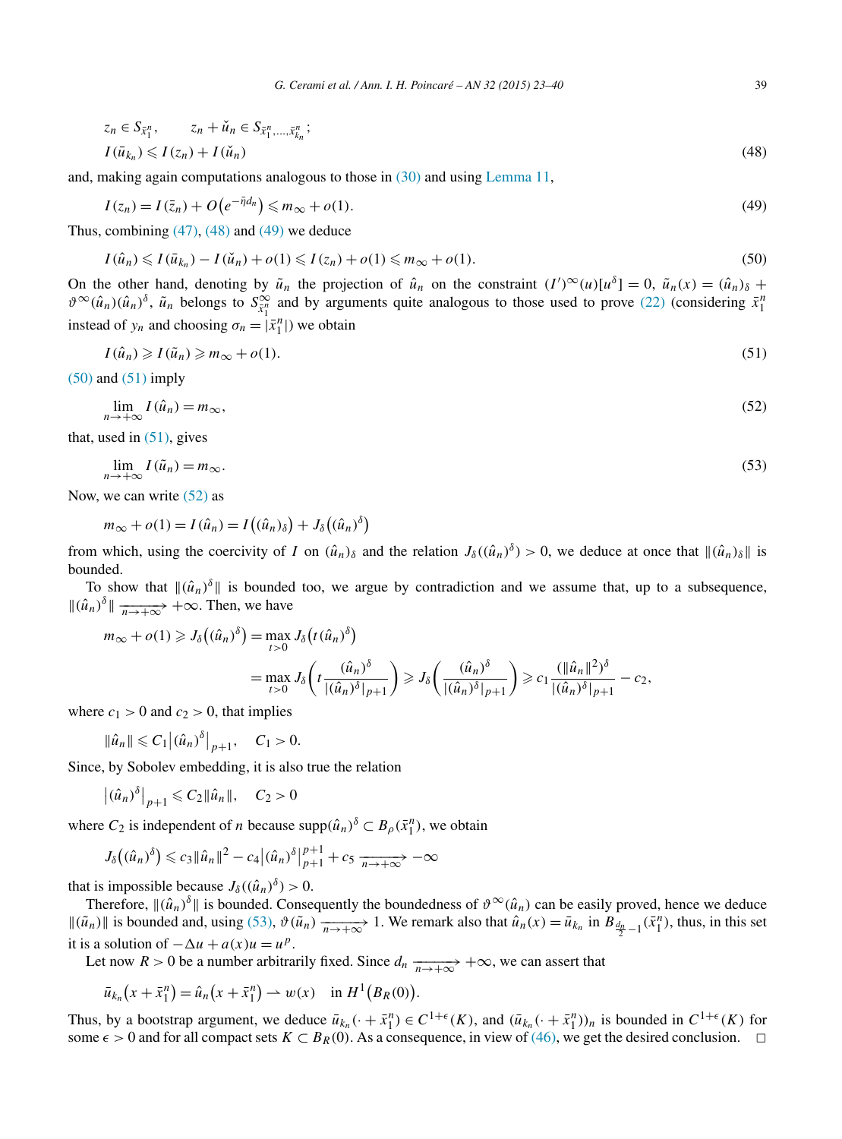$$
z_n \in S_{\bar{x}_1^n}, \qquad z_n + \check{u}_n \in S_{\bar{x}_1^n, \dots, \bar{x}_k^n};
$$
  

$$
I(\bar{u}_{k_n}) \leq I(z_n) + I(\check{u}_n)
$$
 (48)

and, making again computations analogous to those in [\(30\)](#page-11-0) and using [Lemma 11,](#page-6-0)

$$
I(z_n) = I(\bar{z}_n) + O\left(e^{-\bar{\eta}d_n}\right) \leq m_\infty + o(1). \tag{49}
$$

Thus, combining  $(47)$ ,  $(48)$  and  $(49)$  we deduce

$$
I(\hat{u}_n) \leqslant I(\bar{u}_{k_n}) - I(\check{u}_n) + o(1) \leqslant I(z_n) + o(1) \leqslant m_\infty + o(1). \tag{50}
$$

On the other hand, denoting by  $\tilde{u}_n$  the projection of  $\hat{u}_n$  on the constraint  $(I')^{\infty}(u)[u^{\delta}] = 0$ ,  $\tilde{u}_n(x) = (\hat{u}_n)_{\delta}$  +  $\vartheta^{\infty}(\hat{u}_n)(\hat{u}_n)^{\delta}$ ,  $\tilde{u}_n$  belongs to  $S_{\tilde{x}_1^n}^{\infty}$  and by arguments quite analogous to those used to prove [\(22\)](#page-9-0) (considering  $\bar{x}_1^n$ instead of  $y_n$  and choosing  $\sigma_n = |\bar{x}_1^n|$ ) we obtain

$$
I(\hat{u}_n) \geqslant I(\tilde{u}_n) \geqslant m_\infty + o(1). \tag{51}
$$

 $(50)$  and  $(51)$  imply

$$
\lim_{n \to +\infty} I(\hat{u}_n) = m_\infty,\tag{52}
$$

that, used in  $(51)$ , gives

$$
\lim_{n \to +\infty} I(\tilde{u}_n) = m_{\infty}.\tag{53}
$$

Now, we can write (52) as

$$
m_{\infty} + o(1) = I(\hat{u}_n) = I((\hat{u}_n)_{\delta}) + J_{\delta}((\hat{u}_n)^{\delta})
$$

from which, using the coercivity of *I* on  $(\hat{u}_n)_{\delta}$  and the relation  $J_{\delta}((\hat{u}_n)^{\delta}) > 0$ , we deduce at once that  $\|(\hat{u}_n)_{\delta}\|$  is bounded.

To show that  $\|(\hat{u}_n)^{\delta}\|$  is bounded too, we argue by contradiction and we assume that, up to a subsequence,  $\|(\hat{u}_n)^{\delta}\| \xrightarrow[n \to +\infty]{} +\infty$ . Then, we have

$$
m_{\infty} + o(1) \geq J_{\delta}((\hat{u}_{n})^{\delta}) = \max_{t > 0} J_{\delta}(t(\hat{u}_{n})^{\delta})
$$
  
= 
$$
\max_{t > 0} J_{\delta}\left(t \frac{(\hat{u}_{n})^{\delta}}{|(\hat{u}_{n})^{\delta}|_{p+1}}\right) \geq J_{\delta}\left(\frac{(\hat{u}_{n})^{\delta}}{|(\hat{u}_{n})^{\delta}|_{p+1}}\right) \geq c_{1} \frac{(\|\hat{u}_{n}\|^{2})^{\delta}}{|(\hat{u}_{n})^{\delta}|_{p+1}} - c_{2},
$$

where  $c_1 > 0$  and  $c_2 > 0$ , that implies

 $\|\hat{u}_n\| \leq C_1 |(\hat{u}_n)^{\delta}|_{p+1}, \quad C_1 > 0.$ 

Since, by Sobolev embedding, it is also true the relation

$$
|(\hat{u}_n)^{\delta}|_{p+1} \leqslant C_2 \|\hat{u}_n\|, \quad C_2 > 0
$$

where  $C_2$  is independent of *n* because supp $(\hat{u}_n)^{\delta} \subset B_{\rho}(\bar{x}_1^n)$ , we obtain

$$
J_{\delta}\big((\hat{u}_n)^{\delta}\big) \leqslant c_3 \|\hat{u}_n\|^2 - c_4 \big|(\hat{u}_n)^{\delta}\big|_{p+1}^{p+1} + c_5 \xrightarrow[n \to +\infty]{} -\infty
$$

that is impossible because  $J_{\delta}((\hat{u}_n)^{\delta}) > 0$ .

Therefore,  $\|(\hat{u}_n)^{\delta}\|$  is bounded. Consequently the boundedness of  $\vartheta^{\infty}(\hat{u}_n)$  can be easily proved, hence we deduce  $\|(\tilde{u}_n)\|$  is bounded and, using (53),  $\vartheta(\tilde{u}_n)$   $\frac{}{n \to +\infty}$  1. We remark also that  $\hat{u}_n(x) = \bar{u}_{k_n}$  in  $B_{\frac{d_n}{2} - 1}(\bar{x}_1^n)$ , thus, in this set it is a solution of  $-\Delta u + a(x)u = u^p$ .

Let now *R* > 0 be a number arbitrarily fixed. Since  $d_n \frac{d_n}{n \to +\infty} +\infty$ , we can assert that

$$
\bar{u}_{k_n}(x+\bar{x}_1^n) = \hat{u}_n(x+\bar{x}_1^n) \to w(x) \quad \text{in } H^1(B_R(0)).
$$

Thus, by a bootstrap argument, we deduce  $\bar{u}_{k_n}(\cdot + \bar{x}_1^n) \in C^{1+\epsilon}(K)$ , and  $(\bar{u}_{k_n}(\cdot + \bar{x}_1^n))_n$  is bounded in  $C^{1+\epsilon}(K)$  for some  $\epsilon > 0$  and for all compact sets  $K \subset B_R(0)$ . As a consequence, in view of [\(46\),](#page-15-0) we get the desired conclusion.  $\Box$